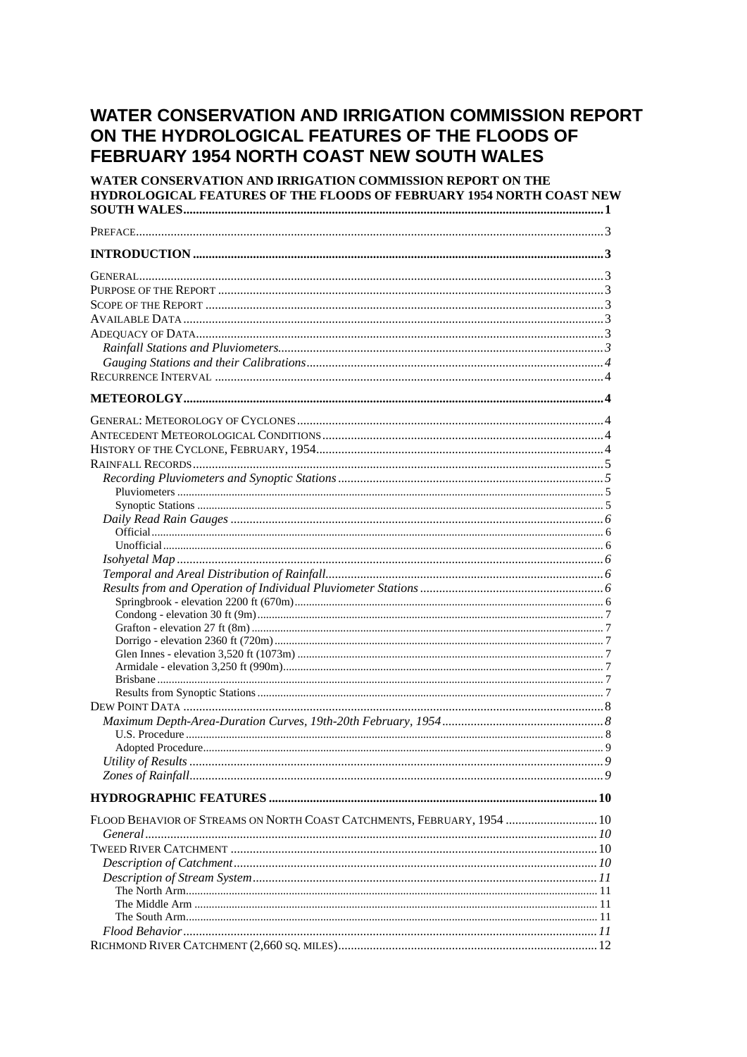# **WATER CONSERVATION AND IRRIGATION COMMISSION REPORT** ON THE HYDROLOGICAL FEATURES OF THE FLOODS OF FEBRUARY 1954 NORTH COAST NEW SOUTH WALES

| WATER CONSERVATION AND IRRIGATION COMMISSION REPORT ON THE<br><b>HYDROLOGICAL FEATURES OF THE FLOODS OF FEBRUARY 1954 NORTH COAST NEW</b> |  |
|-------------------------------------------------------------------------------------------------------------------------------------------|--|
|                                                                                                                                           |  |
|                                                                                                                                           |  |
|                                                                                                                                           |  |
|                                                                                                                                           |  |
|                                                                                                                                           |  |
|                                                                                                                                           |  |
|                                                                                                                                           |  |
|                                                                                                                                           |  |
| FLOOD BEHAVIOR OF STREAMS ON NORTH COAST CATCHMENTS, FEBRUARY, 1954  10                                                                   |  |
|                                                                                                                                           |  |
|                                                                                                                                           |  |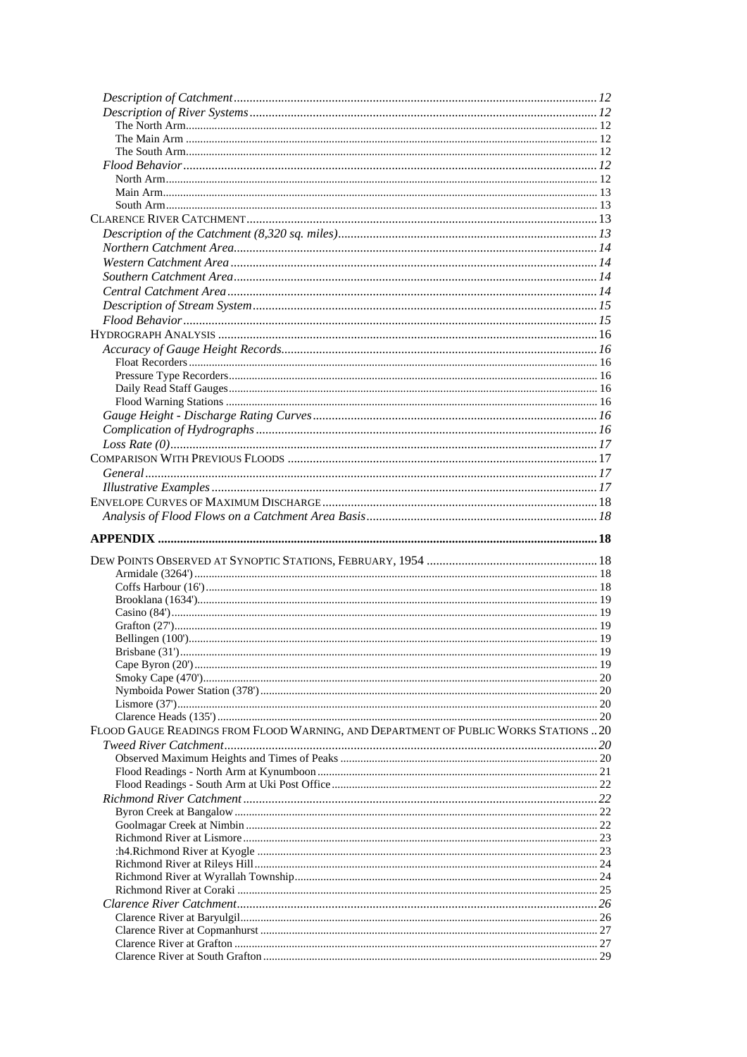| FLOOD GAUGE READINGS FROM FLOOD WARNING, AND DEPARTMENT OF PUBLIC WORKS STATIONS  20 |  |
|--------------------------------------------------------------------------------------|--|
|                                                                                      |  |
|                                                                                      |  |
|                                                                                      |  |
|                                                                                      |  |
|                                                                                      |  |
|                                                                                      |  |
|                                                                                      |  |
|                                                                                      |  |
|                                                                                      |  |
|                                                                                      |  |
|                                                                                      |  |
|                                                                                      |  |
|                                                                                      |  |
|                                                                                      |  |
|                                                                                      |  |
|                                                                                      |  |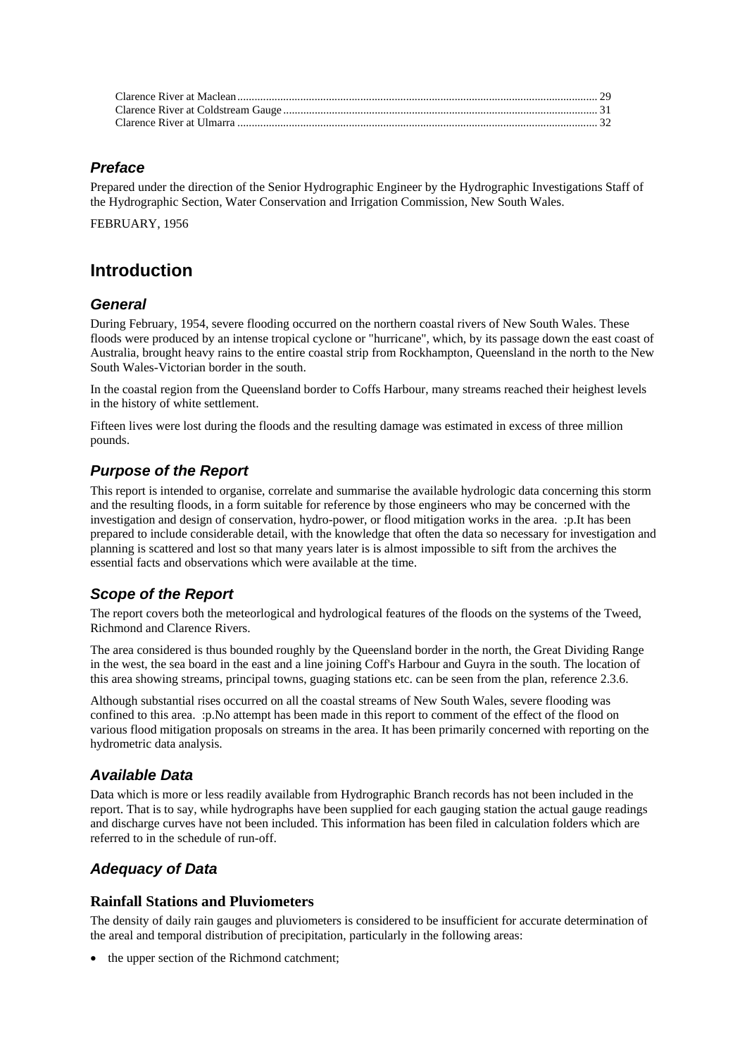#### *Preface*

Prepared under the direction of the Senior Hydrographic Engineer by the Hydrographic Investigations Staff of the Hydrographic Section, Water Conservation and Irrigation Commission, New South Wales.

FEBRUARY, 1956

### **Introduction**

#### *General*

During February, 1954, severe flooding occurred on the northern coastal rivers of New South Wales. These floods were produced by an intense tropical cyclone or "hurricane", which, by its passage down the east coast of Australia, brought heavy rains to the entire coastal strip from Rockhampton, Queensland in the north to the New South Wales-Victorian border in the south.

In the coastal region from the Queensland border to Coffs Harbour, many streams reached their heighest levels in the history of white settlement.

Fifteen lives were lost during the floods and the resulting damage was estimated in excess of three million pounds.

### *Purpose of the Report*

This report is intended to organise, correlate and summarise the available hydrologic data concerning this storm and the resulting floods, in a form suitable for reference by those engineers who may be concerned with the investigation and design of conservation, hydro-power, or flood mitigation works in the area. :p.It has been prepared to include considerable detail, with the knowledge that often the data so necessary for investigation and planning is scattered and lost so that many years later is is almost impossible to sift from the archives the essential facts and observations which were available at the time.

### *Scope of the Report*

The report covers both the meteorlogical and hydrological features of the floods on the systems of the Tweed, Richmond and Clarence Rivers.

The area considered is thus bounded roughly by the Queensland border in the north, the Great Dividing Range in the west, the sea board in the east and a line joining Coff's Harbour and Guyra in the south. The location of this area showing streams, principal towns, guaging stations etc. can be seen from the plan, reference 2.3.6.

Although substantial rises occurred on all the coastal streams of New South Wales, severe flooding was confined to this area. :p.No attempt has been made in this report to comment of the effect of the flood on various flood mitigation proposals on streams in the area. It has been primarily concerned with reporting on the hydrometric data analysis.

#### *Available Data*

Data which is more or less readily available from Hydrographic Branch records has not been included in the report. That is to say, while hydrographs have been supplied for each gauging station the actual gauge readings and discharge curves have not been included. This information has been filed in calculation folders which are referred to in the schedule of run-off.

### *Adequacy of Data*

#### **Rainfall Stations and Pluviometers**

The density of daily rain gauges and pluviometers is considered to be insufficient for accurate determination of the areal and temporal distribution of precipitation, particularly in the following areas:

• the upper section of the Richmond catchment: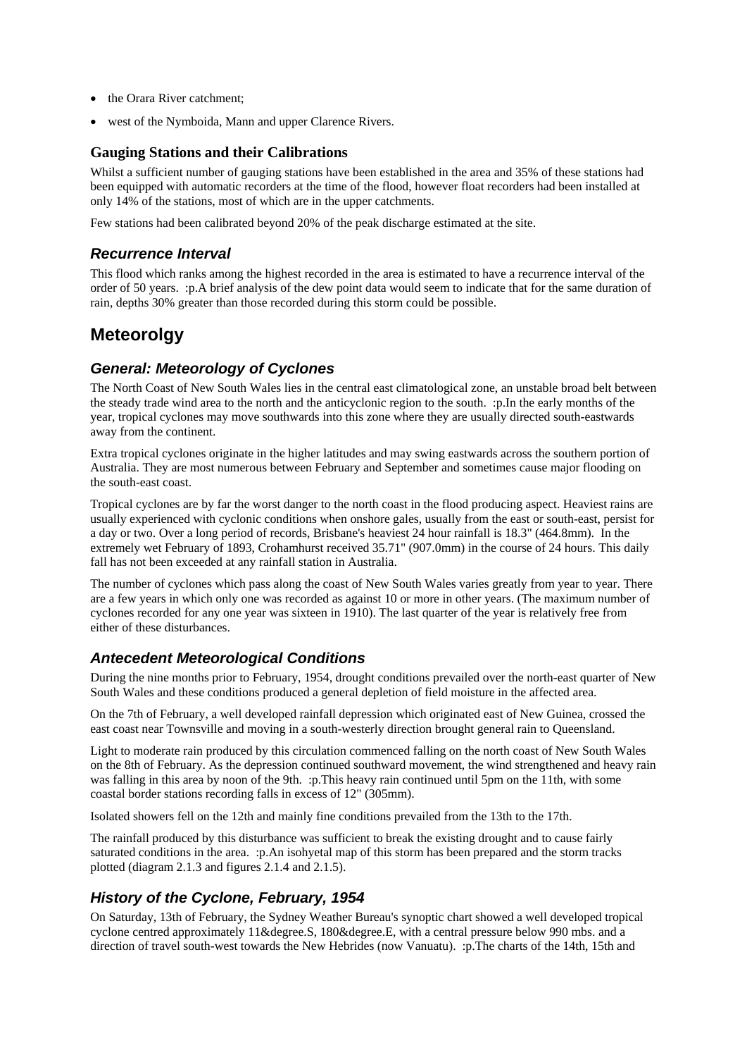- the Orara River catchment;
- west of the Nymboida, Mann and upper Clarence Rivers.

#### **Gauging Stations and their Calibrations**

Whilst a sufficient number of gauging stations have been established in the area and 35% of these stations had been equipped with automatic recorders at the time of the flood, however float recorders had been installed at only 14% of the stations, most of which are in the upper catchments.

Few stations had been calibrated beyond 20% of the peak discharge estimated at the site.

#### *Recurrence Interval*

This flood which ranks among the highest recorded in the area is estimated to have a recurrence interval of the order of 50 years. :p.A brief analysis of the dew point data would seem to indicate that for the same duration of rain, depths 30% greater than those recorded during this storm could be possible.

## **Meteorolgy**

### *General: Meteorology of Cyclones*

The North Coast of New South Wales lies in the central east climatological zone, an unstable broad belt between the steady trade wind area to the north and the anticyclonic region to the south. :p.In the early months of the year, tropical cyclones may move southwards into this zone where they are usually directed south-eastwards away from the continent.

Extra tropical cyclones originate in the higher latitudes and may swing eastwards across the southern portion of Australia. They are most numerous between February and September and sometimes cause major flooding on the south-east coast.

Tropical cyclones are by far the worst danger to the north coast in the flood producing aspect. Heaviest rains are usually experienced with cyclonic conditions when onshore gales, usually from the east or south-east, persist for a day or two. Over a long period of records, Brisbane's heaviest 24 hour rainfall is 18.3" (464.8mm). In the extremely wet February of 1893, Crohamhurst received 35.71" (907.0mm) in the course of 24 hours. This daily fall has not been exceeded at any rainfall station in Australia.

The number of cyclones which pass along the coast of New South Wales varies greatly from year to year. There are a few years in which only one was recorded as against 10 or more in other years. (The maximum number of cyclones recorded for any one year was sixteen in 1910). The last quarter of the year is relatively free from either of these disturbances.

#### *Antecedent Meteorological Conditions*

During the nine months prior to February, 1954, drought conditions prevailed over the north-east quarter of New South Wales and these conditions produced a general depletion of field moisture in the affected area.

On the 7th of February, a well developed rainfall depression which originated east of New Guinea, crossed the east coast near Townsville and moving in a south-westerly direction brought general rain to Queensland.

Light to moderate rain produced by this circulation commenced falling on the north coast of New South Wales on the 8th of February. As the depression continued southward movement, the wind strengthened and heavy rain was falling in this area by noon of the 9th. :p.This heavy rain continued until 5pm on the 11th, with some coastal border stations recording falls in excess of 12" (305mm).

Isolated showers fell on the 12th and mainly fine conditions prevailed from the 13th to the 17th.

The rainfall produced by this disturbance was sufficient to break the existing drought and to cause fairly saturated conditions in the area. :p.An isohyetal map of this storm has been prepared and the storm tracks plotted (diagram 2.1.3 and figures 2.1.4 and 2.1.5).

### *History of the Cyclone, February, 1954*

On Saturday, 13th of February, the Sydney Weather Bureau's synoptic chart showed a well developed tropical cyclone centred approximately 11&degree.S, 180&degree.E, with a central pressure below 990 mbs. and a direction of travel south-west towards the New Hebrides (now Vanuatu). :p.The charts of the 14th, 15th and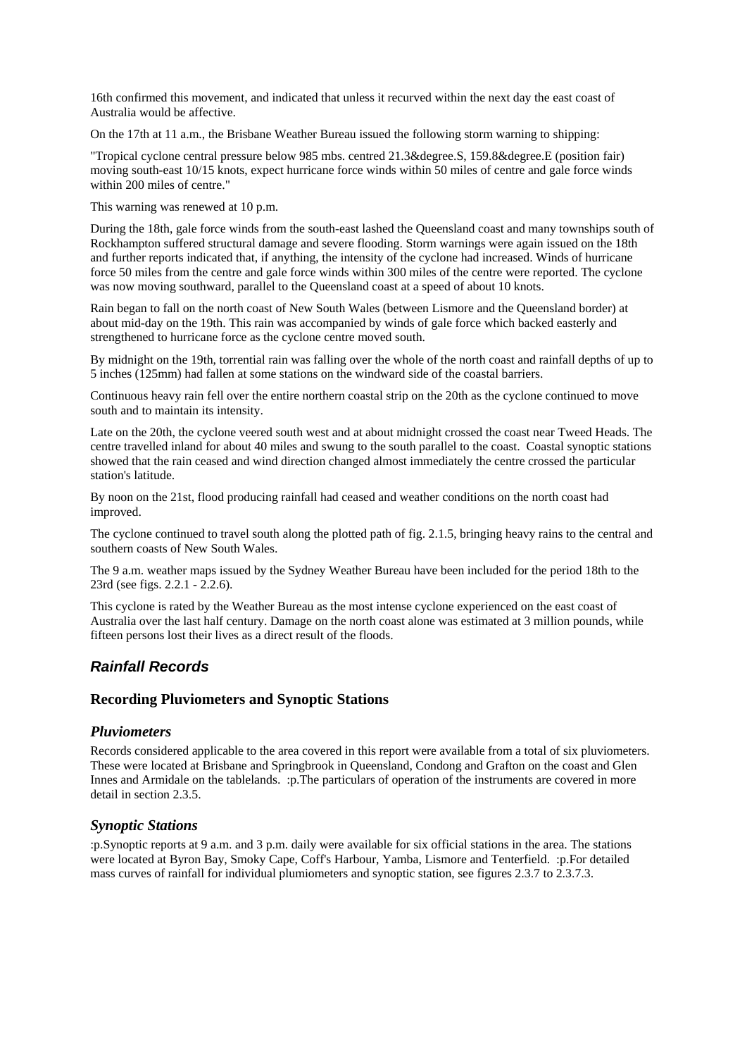16th confirmed this movement, and indicated that unless it recurved within the next day the east coast of Australia would be affective.

On the 17th at 11 a.m., the Brisbane Weather Bureau issued the following storm warning to shipping:

"Tropical cyclone central pressure below 985 mbs. centred 21.3&degree.S, 159.8&degree.E (position fair) moving south-east 10/15 knots, expect hurricane force winds within 50 miles of centre and gale force winds within 200 miles of centre."

This warning was renewed at 10 p.m.

During the 18th, gale force winds from the south-east lashed the Queensland coast and many townships south of Rockhampton suffered structural damage and severe flooding. Storm warnings were again issued on the 18th and further reports indicated that, if anything, the intensity of the cyclone had increased. Winds of hurricane force 50 miles from the centre and gale force winds within 300 miles of the centre were reported. The cyclone was now moving southward, parallel to the Queensland coast at a speed of about 10 knots.

Rain began to fall on the north coast of New South Wales (between Lismore and the Queensland border) at about mid-day on the 19th. This rain was accompanied by winds of gale force which backed easterly and strengthened to hurricane force as the cyclone centre moved south.

By midnight on the 19th, torrential rain was falling over the whole of the north coast and rainfall depths of up to 5 inches (125mm) had fallen at some stations on the windward side of the coastal barriers.

Continuous heavy rain fell over the entire northern coastal strip on the 20th as the cyclone continued to move south and to maintain its intensity.

Late on the 20th, the cyclone veered south west and at about midnight crossed the coast near Tweed Heads. The centre travelled inland for about 40 miles and swung to the south parallel to the coast. Coastal synoptic stations showed that the rain ceased and wind direction changed almost immediately the centre crossed the particular station's latitude.

By noon on the 21st, flood producing rainfall had ceased and weather conditions on the north coast had improved.

The cyclone continued to travel south along the plotted path of fig. 2.1.5, bringing heavy rains to the central and southern coasts of New South Wales.

The 9 a.m. weather maps issued by the Sydney Weather Bureau have been included for the period 18th to the 23rd (see figs. 2.2.1 - 2.2.6).

This cyclone is rated by the Weather Bureau as the most intense cyclone experienced on the east coast of Australia over the last half century. Damage on the north coast alone was estimated at 3 million pounds, while fifteen persons lost their lives as a direct result of the floods.

#### *Rainfall Records*

#### **Recording Pluviometers and Synoptic Stations**

#### *Pluviometers*

Records considered applicable to the area covered in this report were available from a total of six pluviometers. These were located at Brisbane and Springbrook in Queensland, Condong and Grafton on the coast and Glen Innes and Armidale on the tablelands. :p.The particulars of operation of the instruments are covered in more detail in section 2.3.5.

#### *Synoptic Stations*

:p.Synoptic reports at 9 a.m. and 3 p.m. daily were available for six official stations in the area. The stations were located at Byron Bay, Smoky Cape, Coff's Harbour, Yamba, Lismore and Tenterfield. :p.For detailed mass curves of rainfall for individual plumiometers and synoptic station, see figures 2.3.7 to 2.3.7.3.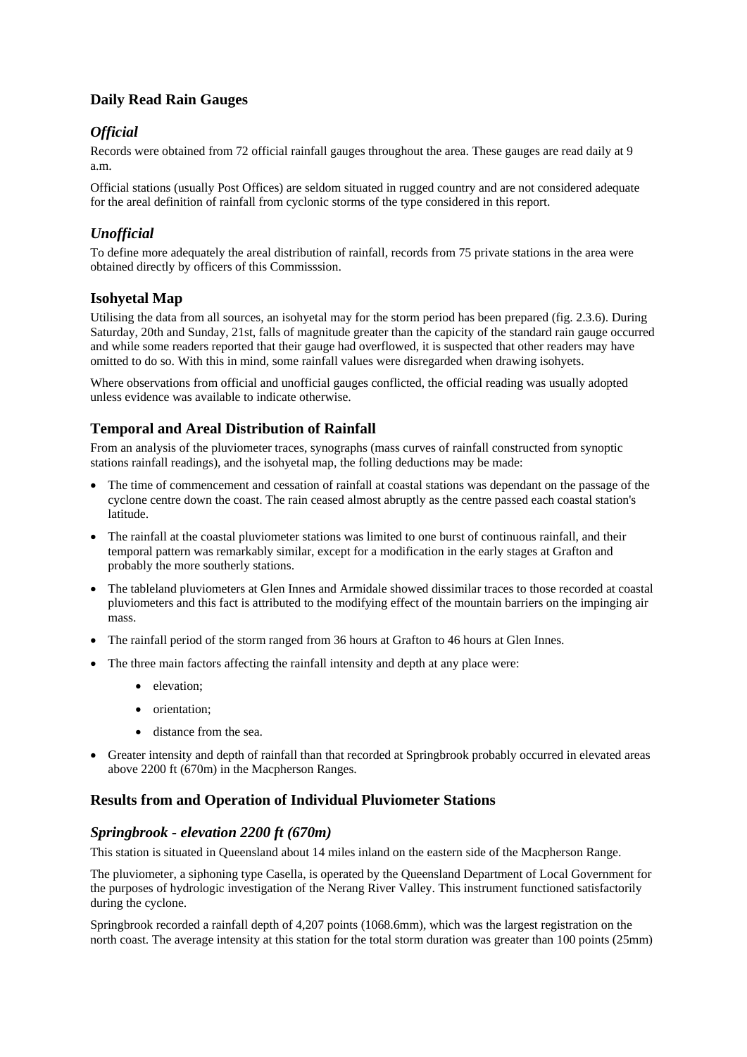### **Daily Read Rain Gauges**

### *Official*

Records were obtained from 72 official rainfall gauges throughout the area. These gauges are read daily at 9 a.m.

Official stations (usually Post Offices) are seldom situated in rugged country and are not considered adequate for the areal definition of rainfall from cyclonic storms of the type considered in this report.

### *Unofficial*

To define more adequately the areal distribution of rainfall, records from 75 private stations in the area were obtained directly by officers of this Commisssion.

#### **Isohyetal Map**

Utilising the data from all sources, an isohyetal may for the storm period has been prepared (fig. 2.3.6). During Saturday, 20th and Sunday, 21st, falls of magnitude greater than the capicity of the standard rain gauge occurred and while some readers reported that their gauge had overflowed, it is suspected that other readers may have omitted to do so. With this in mind, some rainfall values were disregarded when drawing isohyets.

Where observations from official and unofficial gauges conflicted, the official reading was usually adopted unless evidence was available to indicate otherwise.

#### **Temporal and Areal Distribution of Rainfall**

From an analysis of the pluviometer traces, synographs (mass curves of rainfall constructed from synoptic stations rainfall readings), and the isohyetal map, the folling deductions may be made:

- The time of commencement and cessation of rainfall at coastal stations was dependant on the passage of the cyclone centre down the coast. The rain ceased almost abruptly as the centre passed each coastal station's latitude.
- The rainfall at the coastal pluviometer stations was limited to one burst of continuous rainfall, and their temporal pattern was remarkably similar, except for a modification in the early stages at Grafton and probably the more southerly stations.
- The tableland pluviometers at Glen Innes and Armidale showed dissimilar traces to those recorded at coastal pluviometers and this fact is attributed to the modifying effect of the mountain barriers on the impinging air mass.
- The rainfall period of the storm ranged from 36 hours at Grafton to 46 hours at Glen Innes.
- The three main factors affecting the rainfall intensity and depth at any place were:
	- elevation;
	- orientation:
	- distance from the sea.
- Greater intensity and depth of rainfall than that recorded at Springbrook probably occurred in elevated areas above 2200 ft (670m) in the Macpherson Ranges.

#### **Results from and Operation of Individual Pluviometer Stations**

#### *Springbrook - elevation 2200 ft (670m)*

This station is situated in Queensland about 14 miles inland on the eastern side of the Macpherson Range.

The pluviometer, a siphoning type Casella, is operated by the Queensland Department of Local Government for the purposes of hydrologic investigation of the Nerang River Valley. This instrument functioned satisfactorily during the cyclone.

Springbrook recorded a rainfall depth of 4,207 points (1068.6mm), which was the largest registration on the north coast. The average intensity at this station for the total storm duration was greater than 100 points (25mm)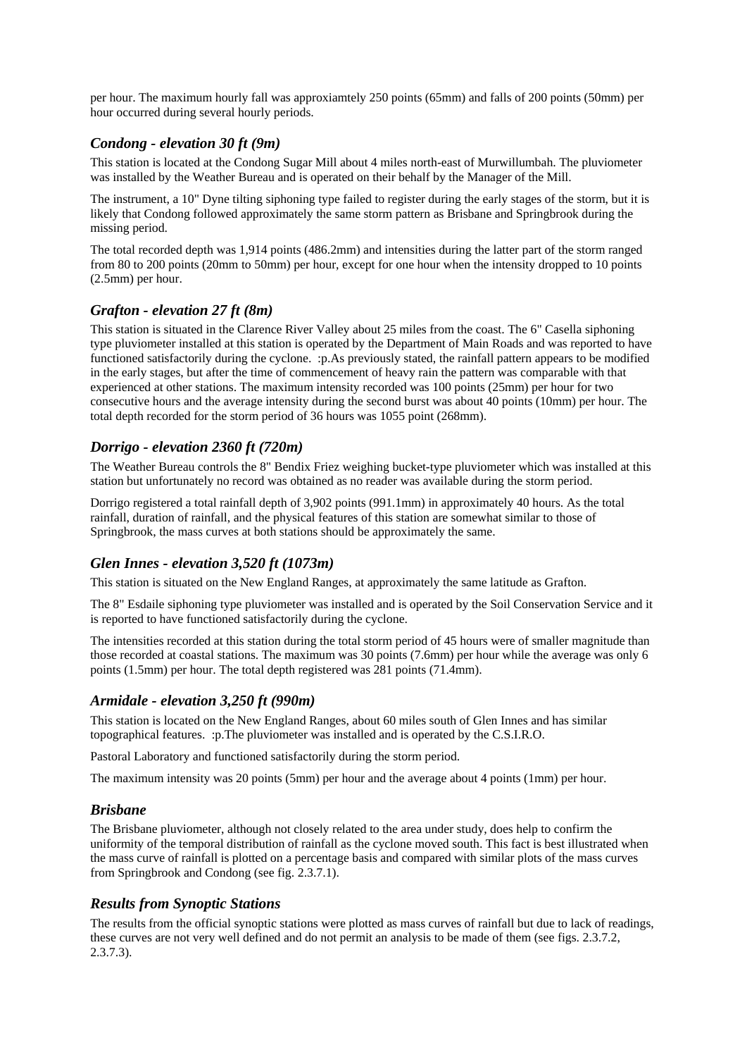per hour. The maximum hourly fall was approxiamtely 250 points (65mm) and falls of 200 points (50mm) per hour occurred during several hourly periods.

#### *Condong - elevation 30 ft (9m)*

This station is located at the Condong Sugar Mill about 4 miles north-east of Murwillumbah. The pluviometer was installed by the Weather Bureau and is operated on their behalf by the Manager of the Mill.

The instrument, a 10" Dyne tilting siphoning type failed to register during the early stages of the storm, but it is likely that Condong followed approximately the same storm pattern as Brisbane and Springbrook during the missing period.

The total recorded depth was 1,914 points (486.2mm) and intensities during the latter part of the storm ranged from 80 to 200 points (20mm to 50mm) per hour, except for one hour when the intensity dropped to 10 points (2.5mm) per hour.

#### *Grafton - elevation 27 ft (8m)*

This station is situated in the Clarence River Valley about 25 miles from the coast. The 6" Casella siphoning type pluviometer installed at this station is operated by the Department of Main Roads and was reported to have functioned satisfactorily during the cyclone. :p.As previously stated, the rainfall pattern appears to be modified in the early stages, but after the time of commencement of heavy rain the pattern was comparable with that experienced at other stations. The maximum intensity recorded was 100 points (25mm) per hour for two consecutive hours and the average intensity during the second burst was about 40 points (10mm) per hour. The total depth recorded for the storm period of 36 hours was 1055 point (268mm).

#### *Dorrigo - elevation 2360 ft (720m)*

The Weather Bureau controls the 8" Bendix Friez weighing bucket-type pluviometer which was installed at this station but unfortunately no record was obtained as no reader was available during the storm period.

Dorrigo registered a total rainfall depth of 3,902 points (991.1mm) in approximately 40 hours. As the total rainfall, duration of rainfall, and the physical features of this station are somewhat similar to those of Springbrook, the mass curves at both stations should be approximately the same.

#### *Glen Innes - elevation 3,520 ft (1073m)*

This station is situated on the New England Ranges, at approximately the same latitude as Grafton.

The 8" Esdaile siphoning type pluviometer was installed and is operated by the Soil Conservation Service and it is reported to have functioned satisfactorily during the cyclone.

The intensities recorded at this station during the total storm period of 45 hours were of smaller magnitude than those recorded at coastal stations. The maximum was 30 points (7.6mm) per hour while the average was only 6 points (1.5mm) per hour. The total depth registered was 281 points (71.4mm).

#### *Armidale - elevation 3,250 ft (990m)*

This station is located on the New England Ranges, about 60 miles south of Glen Innes and has similar topographical features. :p.The pluviometer was installed and is operated by the C.S.I.R.O.

Pastoral Laboratory and functioned satisfactorily during the storm period.

The maximum intensity was 20 points (5mm) per hour and the average about 4 points (1mm) per hour.

#### *Brisbane*

The Brisbane pluviometer, although not closely related to the area under study, does help to confirm the uniformity of the temporal distribution of rainfall as the cyclone moved south. This fact is best illustrated when the mass curve of rainfall is plotted on a percentage basis and compared with similar plots of the mass curves from Springbrook and Condong (see fig. 2.3.7.1).

#### *Results from Synoptic Stations*

The results from the official synoptic stations were plotted as mass curves of rainfall but due to lack of readings, these curves are not very well defined and do not permit an analysis to be made of them (see figs. 2.3.7.2, 2.3.7.3).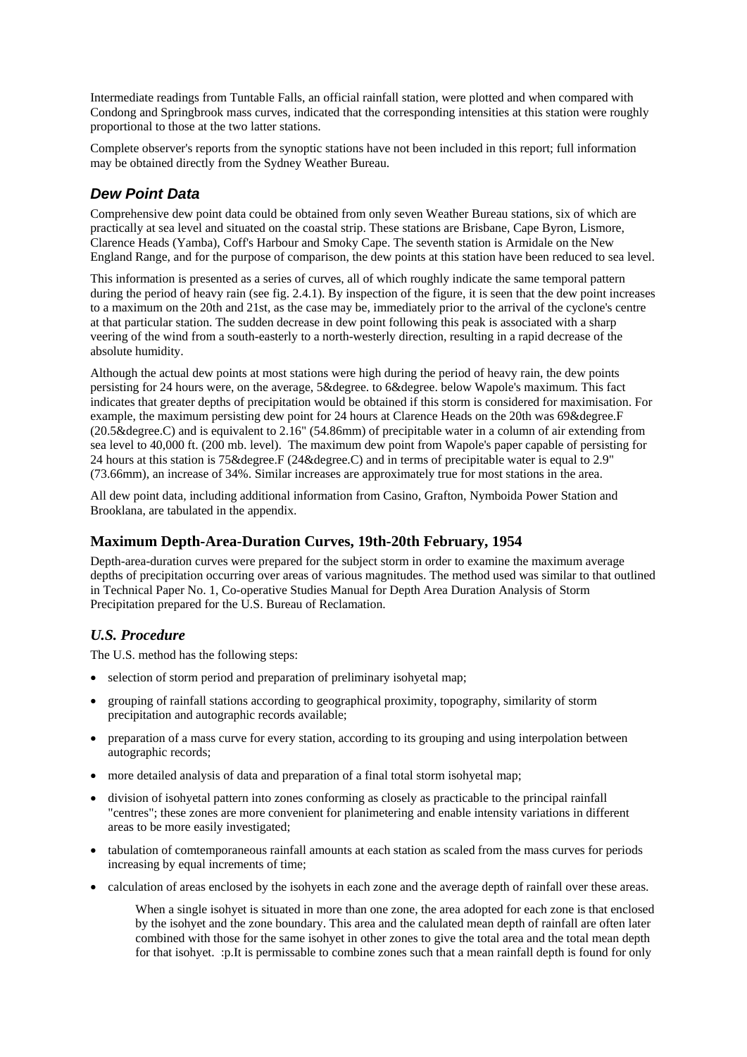Intermediate readings from Tuntable Falls, an official rainfall station, were plotted and when compared with Condong and Springbrook mass curves, indicated that the corresponding intensities at this station were roughly proportional to those at the two latter stations.

Complete observer's reports from the synoptic stations have not been included in this report; full information may be obtained directly from the Sydney Weather Bureau.

### *Dew Point Data*

Comprehensive dew point data could be obtained from only seven Weather Bureau stations, six of which are practically at sea level and situated on the coastal strip. These stations are Brisbane, Cape Byron, Lismore, Clarence Heads (Yamba), Coff's Harbour and Smoky Cape. The seventh station is Armidale on the New England Range, and for the purpose of comparison, the dew points at this station have been reduced to sea level.

This information is presented as a series of curves, all of which roughly indicate the same temporal pattern during the period of heavy rain (see fig. 2.4.1). By inspection of the figure, it is seen that the dew point increases to a maximum on the 20th and 21st, as the case may be, immediately prior to the arrival of the cyclone's centre at that particular station. The sudden decrease in dew point following this peak is associated with a sharp veering of the wind from a south-easterly to a north-westerly direction, resulting in a rapid decrease of the absolute humidity.

Although the actual dew points at most stations were high during the period of heavy rain, the dew points persisting for 24 hours were, on the average, 5&degree. to 6&degree. below Wapole's maximum. This fact indicates that greater depths of precipitation would be obtained if this storm is considered for maximisation. For example, the maximum persisting dew point for 24 hours at Clarence Heads on the 20th was 69& degree.F  $(20.5\&degree,C)$  and is equivalent to  $2.16$ " (54.86mm) of precipitable water in a column of air extending from sea level to 40,000 ft. (200 mb. level). The maximum dew point from Wapole's paper capable of persisting for 24 hours at this station is 75&degree.F (24&degree.C) and in terms of precipitable water is equal to 2.9" (73.66mm), an increase of 34%. Similar increases are approximately true for most stations in the area.

All dew point data, including additional information from Casino, Grafton, Nymboida Power Station and Brooklana, are tabulated in the appendix.

#### **Maximum Depth-Area-Duration Curves, 19th-20th February, 1954**

Depth-area-duration curves were prepared for the subject storm in order to examine the maximum average depths of precipitation occurring over areas of various magnitudes. The method used was similar to that outlined in Technical Paper No. 1, Co-operative Studies Manual for Depth Area Duration Analysis of Storm Precipitation prepared for the U.S. Bureau of Reclamation.

#### *U.S. Procedure*

The U.S. method has the following steps:

- selection of storm period and preparation of preliminary isohyetal map;
- grouping of rainfall stations according to geographical proximity, topography, similarity of storm precipitation and autographic records available;
- preparation of a mass curve for every station, according to its grouping and using interpolation between autographic records;
- more detailed analysis of data and preparation of a final total storm isohyetal map;
- division of isohyetal pattern into zones conforming as closely as practicable to the principal rainfall "centres"; these zones are more convenient for planimetering and enable intensity variations in different areas to be more easily investigated;
- tabulation of comtemporaneous rainfall amounts at each station as scaled from the mass curves for periods increasing by equal increments of time;
- calculation of areas enclosed by the isohyets in each zone and the average depth of rainfall over these areas.

When a single isohyet is situated in more than one zone, the area adopted for each zone is that enclosed by the isohyet and the zone boundary. This area and the calulated mean depth of rainfall are often later combined with those for the same isohyet in other zones to give the total area and the total mean depth for that isohyet. :p.It is permissable to combine zones such that a mean rainfall depth is found for only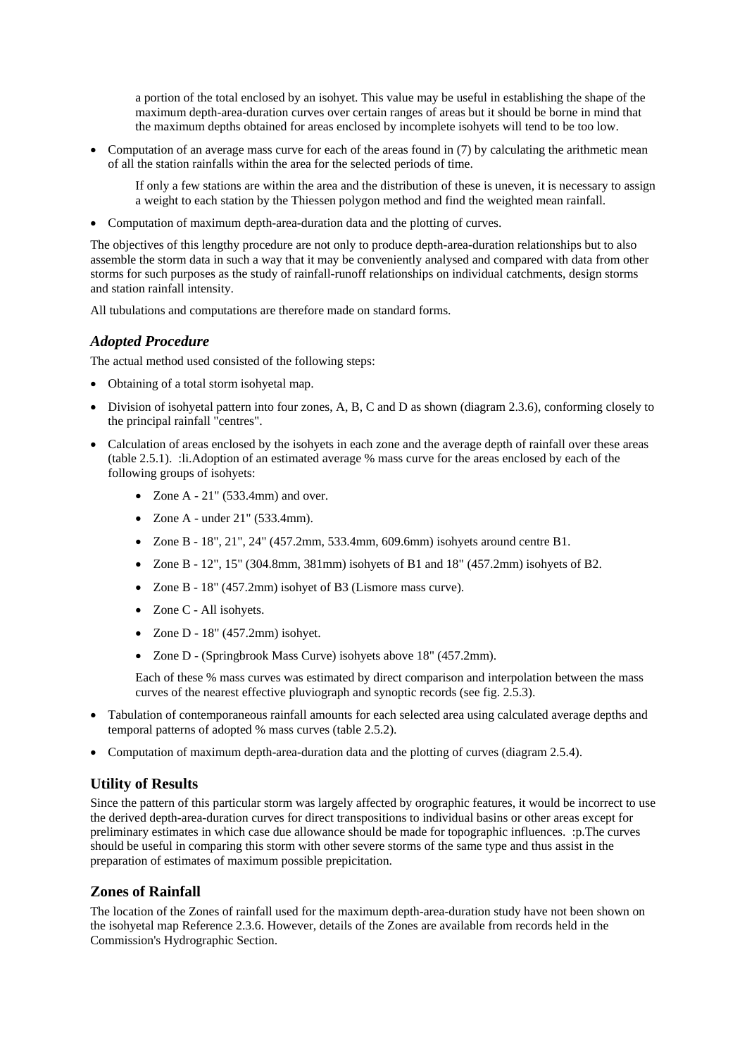a portion of the total enclosed by an isohyet. This value may be useful in establishing the shape of the maximum depth-area-duration curves over certain ranges of areas but it should be borne in mind that the maximum depths obtained for areas enclosed by incomplete isohyets will tend to be too low.

• Computation of an average mass curve for each of the areas found in (7) by calculating the arithmetic mean of all the station rainfalls within the area for the selected periods of time.

If only a few stations are within the area and the distribution of these is uneven, it is necessary to assign a weight to each station by the Thiessen polygon method and find the weighted mean rainfall.

Computation of maximum depth-area-duration data and the plotting of curves.

The objectives of this lengthy procedure are not only to produce depth-area-duration relationships but to also assemble the storm data in such a way that it may be conveniently analysed and compared with data from other storms for such purposes as the study of rainfall-runoff relationships on individual catchments, design storms and station rainfall intensity.

All tubulations and computations are therefore made on standard forms.

#### *Adopted Procedure*

The actual method used consisted of the following steps:

- Obtaining of a total storm isohyetal map.
- Division of isohyetal pattern into four zones, A, B, C and D as shown (diagram 2.3.6), conforming closely to the principal rainfall "centres".
- Calculation of areas enclosed by the isohyets in each zone and the average depth of rainfall over these areas (table 2.5.1). :li.Adoption of an estimated average % mass curve for the areas enclosed by each of the following groups of isohyets:
	- Zone A  $21$ " (533.4mm) and over.
	- $\bullet$  Zone A under 21" (533.4mm).
	- Zone B 18", 21", 24" (457.2mm, 533.4mm, 609.6mm) isohyets around centre B1.
	- Zone B 12", 15" (304.8mm, 381mm) isohyets of B1 and 18" (457.2mm) isohyets of B2.
	- Zone B 18" (457.2mm) isohyet of B3 (Lismore mass curve).
	- Zone C All isohyets.
	- Zone D  $18"$  (457.2mm) isohyet.
	- Zone D (Springbrook Mass Curve) isohyets above 18" (457.2mm).

Each of these % mass curves was estimated by direct comparison and interpolation between the mass curves of the nearest effective pluviograph and synoptic records (see fig. 2.5.3).

- Tabulation of contemporaneous rainfall amounts for each selected area using calculated average depths and temporal patterns of adopted % mass curves (table 2.5.2).
- Computation of maximum depth-area-duration data and the plotting of curves (diagram 2.5.4).

#### **Utility of Results**

Since the pattern of this particular storm was largely affected by orographic features, it would be incorrect to use the derived depth-area-duration curves for direct transpositions to individual basins or other areas except for preliminary estimates in which case due allowance should be made for topographic influences. :p.The curves should be useful in comparing this storm with other severe storms of the same type and thus assist in the preparation of estimates of maximum possible prepicitation.

#### **Zones of Rainfall**

The location of the Zones of rainfall used for the maximum depth-area-duration study have not been shown on the isohyetal map Reference 2.3.6. However, details of the Zones are available from records held in the Commission's Hydrographic Section.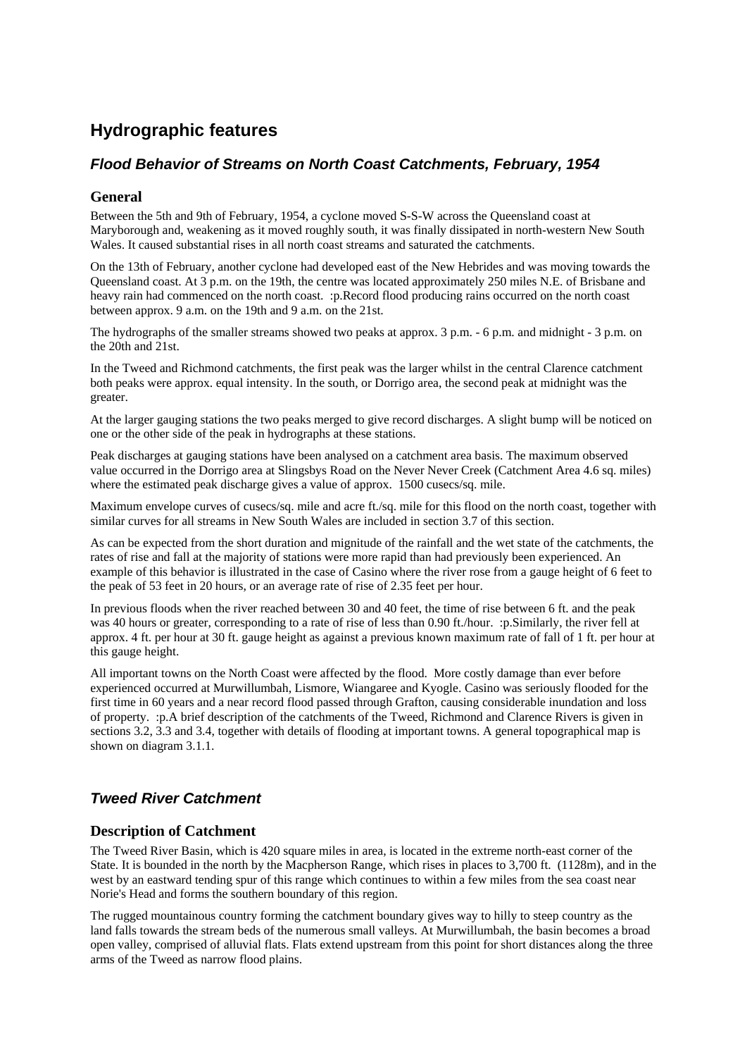# **Hydrographic features**

### *Flood Behavior of Streams on North Coast Catchments, February, 1954*

#### **General**

Between the 5th and 9th of February, 1954, a cyclone moved S-S-W across the Queensland coast at Maryborough and, weakening as it moved roughly south, it was finally dissipated in north-western New South Wales. It caused substantial rises in all north coast streams and saturated the catchments.

On the 13th of February, another cyclone had developed east of the New Hebrides and was moving towards the Queensland coast. At 3 p.m. on the 19th, the centre was located approximately 250 miles N.E. of Brisbane and heavy rain had commenced on the north coast. :p.Record flood producing rains occurred on the north coast between approx. 9 a.m. on the 19th and 9 a.m. on the 21st.

The hydrographs of the smaller streams showed two peaks at approx. 3 p.m. - 6 p.m. and midnight - 3 p.m. on the 20th and 21st.

In the Tweed and Richmond catchments, the first peak was the larger whilst in the central Clarence catchment both peaks were approx. equal intensity. In the south, or Dorrigo area, the second peak at midnight was the greater.

At the larger gauging stations the two peaks merged to give record discharges. A slight bump will be noticed on one or the other side of the peak in hydrographs at these stations.

Peak discharges at gauging stations have been analysed on a catchment area basis. The maximum observed value occurred in the Dorrigo area at Slingsbys Road on the Never Never Creek (Catchment Area 4.6 sq. miles) where the estimated peak discharge gives a value of approx. 1500 cusecs/sq. mile.

Maximum envelope curves of cusecs/sq. mile and acre ft./sq. mile for this flood on the north coast, together with similar curves for all streams in New South Wales are included in section 3.7 of this section.

As can be expected from the short duration and mignitude of the rainfall and the wet state of the catchments, the rates of rise and fall at the majority of stations were more rapid than had previously been experienced. An example of this behavior is illustrated in the case of Casino where the river rose from a gauge height of 6 feet to the peak of 53 feet in 20 hours, or an average rate of rise of 2.35 feet per hour.

In previous floods when the river reached between 30 and 40 feet, the time of rise between 6 ft. and the peak was 40 hours or greater, corresponding to a rate of rise of less than 0.90 ft./hour. :p.Similarly, the river fell at approx. 4 ft. per hour at 30 ft. gauge height as against a previous known maximum rate of fall of 1 ft. per hour at this gauge height.

All important towns on the North Coast were affected by the flood. More costly damage than ever before experienced occurred at Murwillumbah, Lismore, Wiangaree and Kyogle. Casino was seriously flooded for the first time in 60 years and a near record flood passed through Grafton, causing considerable inundation and loss of property. :p.A brief description of the catchments of the Tweed, Richmond and Clarence Rivers is given in sections 3.2, 3.3 and 3.4, together with details of flooding at important towns. A general topographical map is shown on diagram 3.1.1.

### *Tweed River Catchment*

#### **Description of Catchment**

The Tweed River Basin, which is 420 square miles in area, is located in the extreme north-east corner of the State. It is bounded in the north by the Macpherson Range, which rises in places to 3,700 ft. (1128m), and in the west by an eastward tending spur of this range which continues to within a few miles from the sea coast near Norie's Head and forms the southern boundary of this region.

The rugged mountainous country forming the catchment boundary gives way to hilly to steep country as the land falls towards the stream beds of the numerous small valleys. At Murwillumbah, the basin becomes a broad open valley, comprised of alluvial flats. Flats extend upstream from this point for short distances along the three arms of the Tweed as narrow flood plains.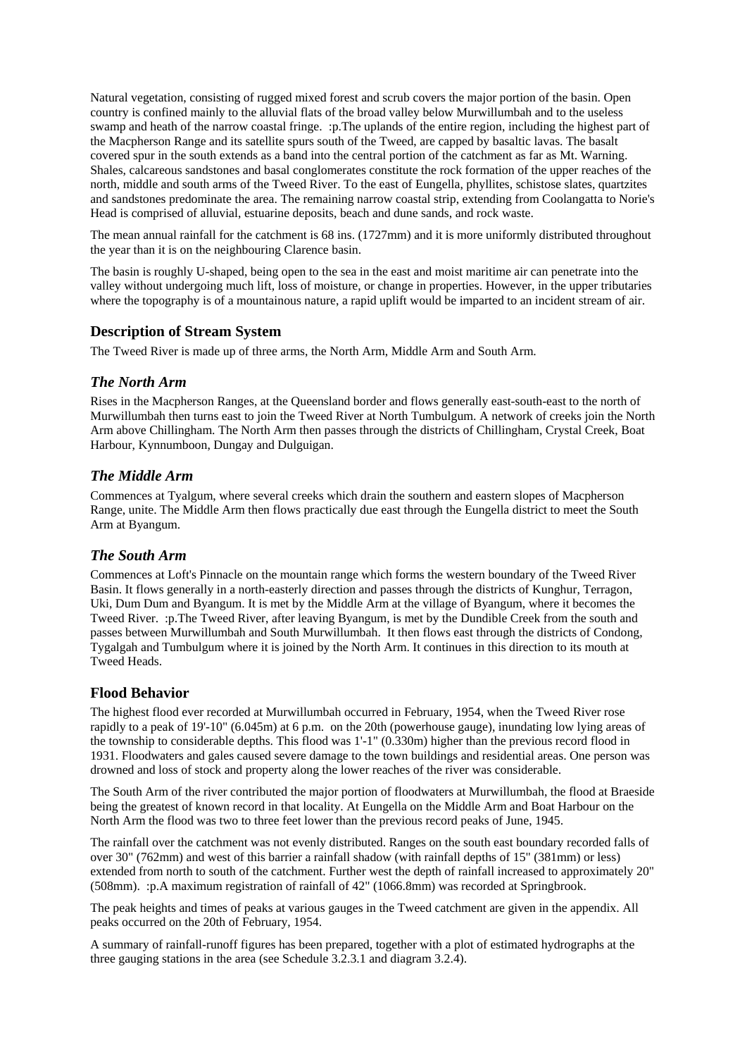Natural vegetation, consisting of rugged mixed forest and scrub covers the major portion of the basin. Open country is confined mainly to the alluvial flats of the broad valley below Murwillumbah and to the useless swamp and heath of the narrow coastal fringe. :p.The uplands of the entire region, including the highest part of the Macpherson Range and its satellite spurs south of the Tweed, are capped by basaltic lavas. The basalt covered spur in the south extends as a band into the central portion of the catchment as far as Mt. Warning. Shales, calcareous sandstones and basal conglomerates constitute the rock formation of the upper reaches of the north, middle and south arms of the Tweed River. To the east of Eungella, phyllites, schistose slates, quartzites and sandstones predominate the area. The remaining narrow coastal strip, extending from Coolangatta to Norie's Head is comprised of alluvial, estuarine deposits, beach and dune sands, and rock waste.

The mean annual rainfall for the catchment is 68 ins. (1727mm) and it is more uniformly distributed throughout the year than it is on the neighbouring Clarence basin.

The basin is roughly U-shaped, being open to the sea in the east and moist maritime air can penetrate into the valley without undergoing much lift, loss of moisture, or change in properties. However, in the upper tributaries where the topography is of a mountainous nature, a rapid uplift would be imparted to an incident stream of air.

#### **Description of Stream System**

The Tweed River is made up of three arms, the North Arm, Middle Arm and South Arm.

#### *The North Arm*

Rises in the Macpherson Ranges, at the Queensland border and flows generally east-south-east to the north of Murwillumbah then turns east to join the Tweed River at North Tumbulgum. A network of creeks join the North Arm above Chillingham. The North Arm then passes through the districts of Chillingham, Crystal Creek, Boat Harbour, Kynnumboon, Dungay and Dulguigan.

#### *The Middle Arm*

Commences at Tyalgum, where several creeks which drain the southern and eastern slopes of Macpherson Range, unite. The Middle Arm then flows practically due east through the Eungella district to meet the South Arm at Byangum.

#### *The South Arm*

Commences at Loft's Pinnacle on the mountain range which forms the western boundary of the Tweed River Basin. It flows generally in a north-easterly direction and passes through the districts of Kunghur, Terragon, Uki, Dum Dum and Byangum. It is met by the Middle Arm at the village of Byangum, where it becomes the Tweed River. :p.The Tweed River, after leaving Byangum, is met by the Dundible Creek from the south and passes between Murwillumbah and South Murwillumbah. It then flows east through the districts of Condong, Tygalgah and Tumbulgum where it is joined by the North Arm. It continues in this direction to its mouth at Tweed Heads.

#### **Flood Behavior**

The highest flood ever recorded at Murwillumbah occurred in February, 1954, when the Tweed River rose rapidly to a peak of 19'-10" (6.045m) at 6 p.m. on the 20th (powerhouse gauge), inundating low lying areas of the township to considerable depths. This flood was 1'-1" (0.330m) higher than the previous record flood in 1931. Floodwaters and gales caused severe damage to the town buildings and residential areas. One person was drowned and loss of stock and property along the lower reaches of the river was considerable.

The South Arm of the river contributed the major portion of floodwaters at Murwillumbah, the flood at Braeside being the greatest of known record in that locality. At Eungella on the Middle Arm and Boat Harbour on the North Arm the flood was two to three feet lower than the previous record peaks of June, 1945.

The rainfall over the catchment was not evenly distributed. Ranges on the south east boundary recorded falls of over 30" (762mm) and west of this barrier a rainfall shadow (with rainfall depths of 15" (381mm) or less) extended from north to south of the catchment. Further west the depth of rainfall increased to approximately 20" (508mm). :p.A maximum registration of rainfall of 42" (1066.8mm) was recorded at Springbrook.

The peak heights and times of peaks at various gauges in the Tweed catchment are given in the appendix. All peaks occurred on the 20th of February, 1954.

A summary of rainfall-runoff figures has been prepared, together with a plot of estimated hydrographs at the three gauging stations in the area (see Schedule 3.2.3.1 and diagram 3.2.4).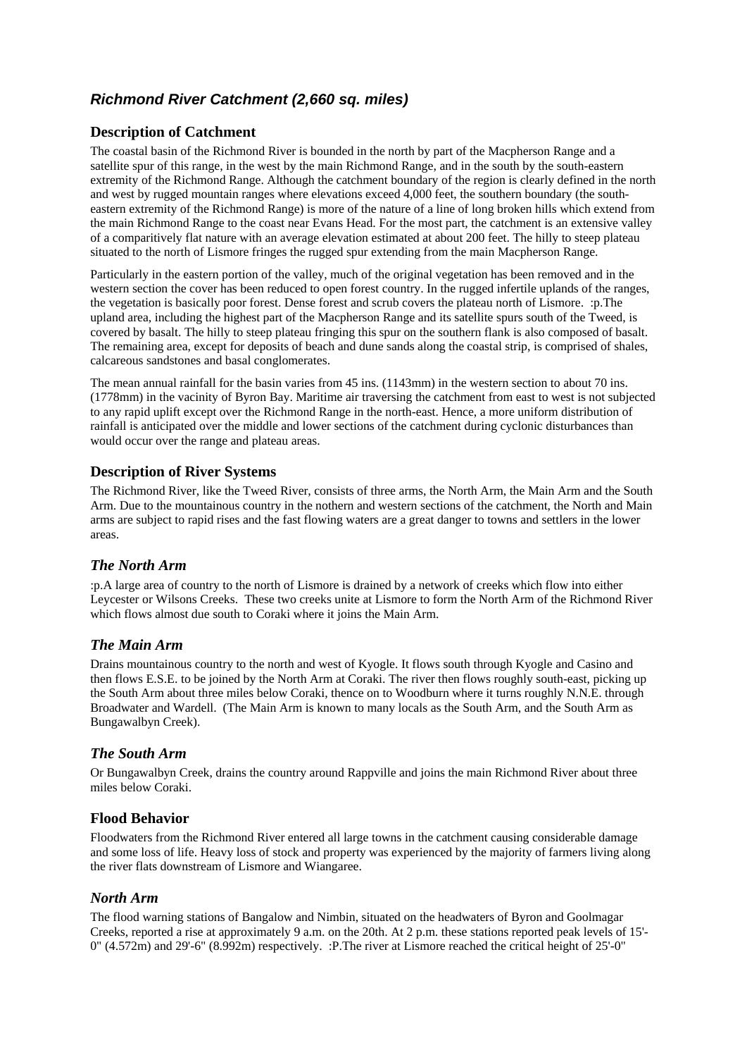### *Richmond River Catchment (2,660 sq. miles)*

#### **Description of Catchment**

The coastal basin of the Richmond River is bounded in the north by part of the Macpherson Range and a satellite spur of this range, in the west by the main Richmond Range, and in the south by the south-eastern extremity of the Richmond Range. Although the catchment boundary of the region is clearly defined in the north and west by rugged mountain ranges where elevations exceed 4,000 feet, the southern boundary (the southeastern extremity of the Richmond Range) is more of the nature of a line of long broken hills which extend from the main Richmond Range to the coast near Evans Head. For the most part, the catchment is an extensive valley of a comparitively flat nature with an average elevation estimated at about 200 feet. The hilly to steep plateau situated to the north of Lismore fringes the rugged spur extending from the main Macpherson Range.

Particularly in the eastern portion of the valley, much of the original vegetation has been removed and in the western section the cover has been reduced to open forest country. In the rugged infertile uplands of the ranges, the vegetation is basically poor forest. Dense forest and scrub covers the plateau north of Lismore. :p.The upland area, including the highest part of the Macpherson Range and its satellite spurs south of the Tweed, is covered by basalt. The hilly to steep plateau fringing this spur on the southern flank is also composed of basalt. The remaining area, except for deposits of beach and dune sands along the coastal strip, is comprised of shales, calcareous sandstones and basal conglomerates.

The mean annual rainfall for the basin varies from 45 ins. (1143mm) in the western section to about 70 ins. (1778mm) in the vacinity of Byron Bay. Maritime air traversing the catchment from east to west is not subjected to any rapid uplift except over the Richmond Range in the north-east. Hence, a more uniform distribution of rainfall is anticipated over the middle and lower sections of the catchment during cyclonic disturbances than would occur over the range and plateau areas.

#### **Description of River Systems**

The Richmond River, like the Tweed River, consists of three arms, the North Arm, the Main Arm and the South Arm. Due to the mountainous country in the nothern and western sections of the catchment, the North and Main arms are subject to rapid rises and the fast flowing waters are a great danger to towns and settlers in the lower areas.

#### *The North Arm*

:p.A large area of country to the north of Lismore is drained by a network of creeks which flow into either Leycester or Wilsons Creeks. These two creeks unite at Lismore to form the North Arm of the Richmond River which flows almost due south to Coraki where it joins the Main Arm.

#### *The Main Arm*

Drains mountainous country to the north and west of Kyogle. It flows south through Kyogle and Casino and then flows E.S.E. to be joined by the North Arm at Coraki. The river then flows roughly south-east, picking up the South Arm about three miles below Coraki, thence on to Woodburn where it turns roughly N.N.E. through Broadwater and Wardell. (The Main Arm is known to many locals as the South Arm, and the South Arm as Bungawalbyn Creek).

#### *The South Arm*

Or Bungawalbyn Creek, drains the country around Rappville and joins the main Richmond River about three miles below Coraki.

#### **Flood Behavior**

Floodwaters from the Richmond River entered all large towns in the catchment causing considerable damage and some loss of life. Heavy loss of stock and property was experienced by the majority of farmers living along the river flats downstream of Lismore and Wiangaree.

#### *North Arm*

The flood warning stations of Bangalow and Nimbin, situated on the headwaters of Byron and Goolmagar Creeks, reported a rise at approximately 9 a.m. on the 20th. At 2 p.m. these stations reported peak levels of 15'- 0" (4.572m) and 29'-6" (8.992m) respectively. :P.The river at Lismore reached the critical height of 25'-0"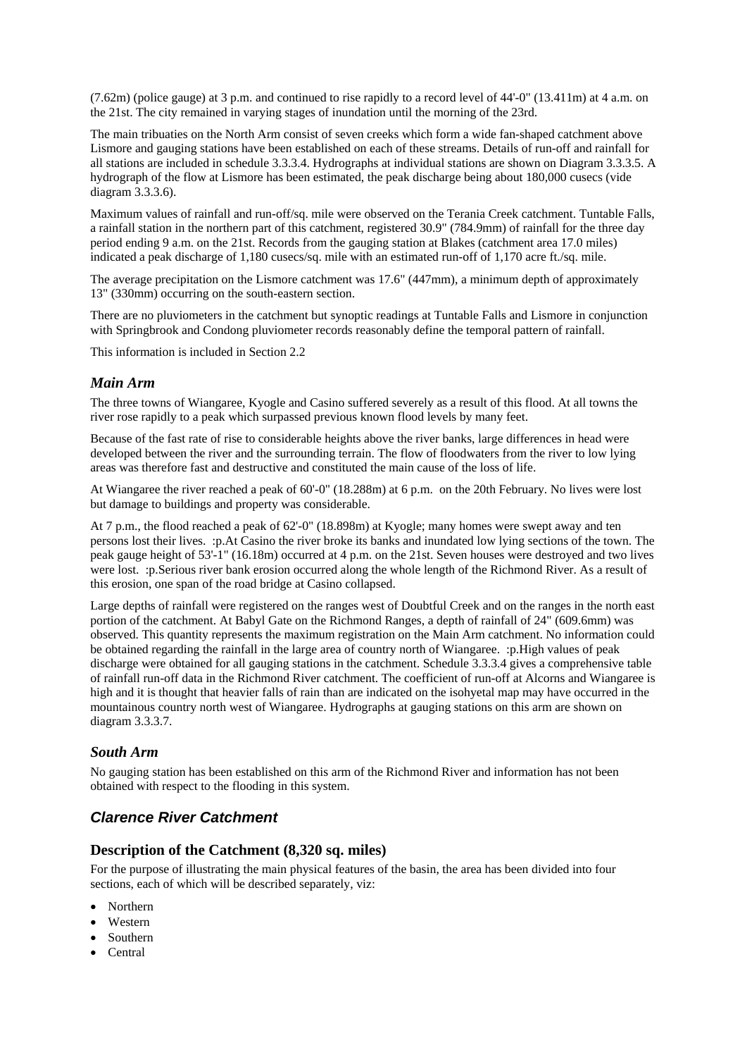$(7.62m)$  (police gauge) at 3 p.m. and continued to rise rapidly to a record level of  $44$ -0" (13.411m) at 4 a.m. on the 21st. The city remained in varying stages of inundation until the morning of the 23rd.

The main tribuaties on the North Arm consist of seven creeks which form a wide fan-shaped catchment above Lismore and gauging stations have been established on each of these streams. Details of run-off and rainfall for all stations are included in schedule 3.3.3.4. Hydrographs at individual stations are shown on Diagram 3.3.3.5. A hydrograph of the flow at Lismore has been estimated, the peak discharge being about 180,000 cusecs (vide diagram 3.3.3.6).

Maximum values of rainfall and run-off/sq. mile were observed on the Terania Creek catchment. Tuntable Falls, a rainfall station in the northern part of this catchment, registered 30.9" (784.9mm) of rainfall for the three day period ending 9 a.m. on the 21st. Records from the gauging station at Blakes (catchment area 17.0 miles) indicated a peak discharge of 1,180 cusecs/sq. mile with an estimated run-off of 1,170 acre ft./sq. mile.

The average precipitation on the Lismore catchment was 17.6" (447mm), a minimum depth of approximately 13" (330mm) occurring on the south-eastern section.

There are no pluviometers in the catchment but synoptic readings at Tuntable Falls and Lismore in conjunction with Springbrook and Condong pluviometer records reasonably define the temporal pattern of rainfall.

This information is included in Section 2.2

#### *Main Arm*

The three towns of Wiangaree, Kyogle and Casino suffered severely as a result of this flood. At all towns the river rose rapidly to a peak which surpassed previous known flood levels by many feet.

Because of the fast rate of rise to considerable heights above the river banks, large differences in head were developed between the river and the surrounding terrain. The flow of floodwaters from the river to low lying areas was therefore fast and destructive and constituted the main cause of the loss of life.

At Wiangaree the river reached a peak of 60'-0" (18.288m) at 6 p.m. on the 20th February. No lives were lost but damage to buildings and property was considerable.

At 7 p.m., the flood reached a peak of 62'-0" (18.898m) at Kyogle; many homes were swept away and ten persons lost their lives. :p.At Casino the river broke its banks and inundated low lying sections of the town. The peak gauge height of 53'-1" (16.18m) occurred at 4 p.m. on the 21st. Seven houses were destroyed and two lives were lost. :p.Serious river bank erosion occurred along the whole length of the Richmond River. As a result of this erosion, one span of the road bridge at Casino collapsed.

Large depths of rainfall were registered on the ranges west of Doubtful Creek and on the ranges in the north east portion of the catchment. At Babyl Gate on the Richmond Ranges, a depth of rainfall of 24" (609.6mm) was observed. This quantity represents the maximum registration on the Main Arm catchment. No information could be obtained regarding the rainfall in the large area of country north of Wiangaree. :p.High values of peak discharge were obtained for all gauging stations in the catchment. Schedule 3.3.3.4 gives a comprehensive table of rainfall run-off data in the Richmond River catchment. The coefficient of run-off at Alcorns and Wiangaree is high and it is thought that heavier falls of rain than are indicated on the isohyetal map may have occurred in the mountainous country north west of Wiangaree. Hydrographs at gauging stations on this arm are shown on diagram 3.3.3.7.

#### *South Arm*

No gauging station has been established on this arm of the Richmond River and information has not been obtained with respect to the flooding in this system.

### *Clarence River Catchment*

#### **Description of the Catchment (8,320 sq. miles)**

For the purpose of illustrating the main physical features of the basin, the area has been divided into four sections, each of which will be described separately, viz:

- Northern
- Western
- Southern
- Central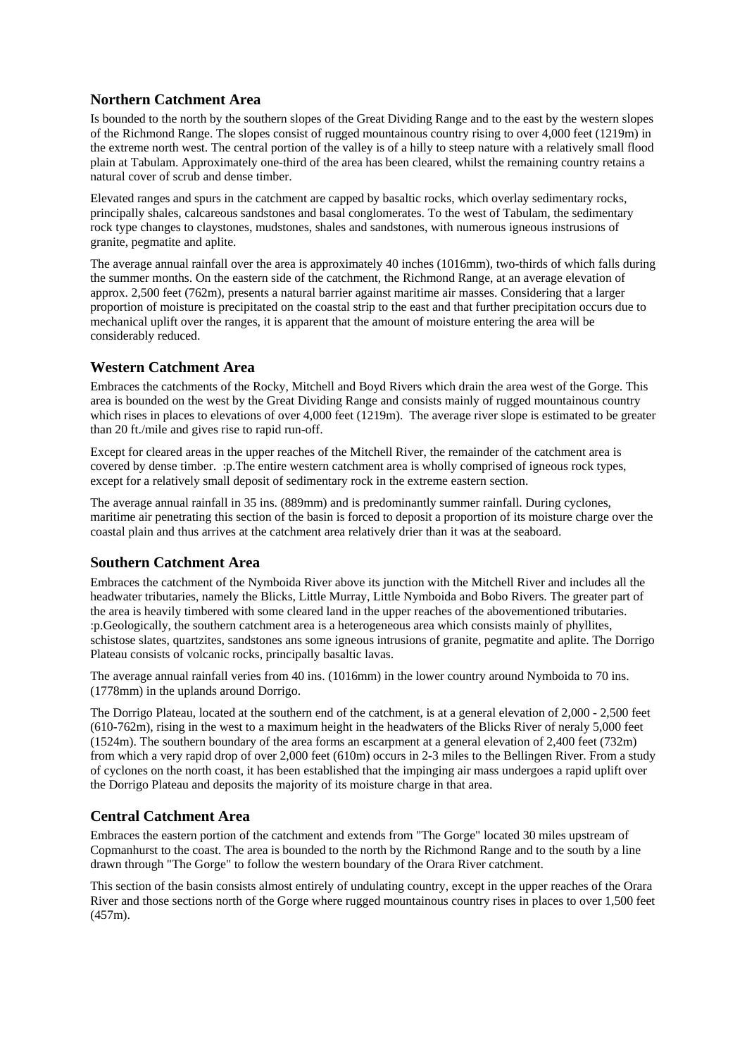#### **Northern Catchment Area**

Is bounded to the north by the southern slopes of the Great Dividing Range and to the east by the western slopes of the Richmond Range. The slopes consist of rugged mountainous country rising to over 4,000 feet (1219m) in the extreme north west. The central portion of the valley is of a hilly to steep nature with a relatively small flood plain at Tabulam. Approximately one-third of the area has been cleared, whilst the remaining country retains a natural cover of scrub and dense timber.

Elevated ranges and spurs in the catchment are capped by basaltic rocks, which overlay sedimentary rocks, principally shales, calcareous sandstones and basal conglomerates. To the west of Tabulam, the sedimentary rock type changes to claystones, mudstones, shales and sandstones, with numerous igneous instrusions of granite, pegmatite and aplite.

The average annual rainfall over the area is approximately 40 inches (1016mm), two-thirds of which falls during the summer months. On the eastern side of the catchment, the Richmond Range, at an average elevation of approx. 2,500 feet (762m), presents a natural barrier against maritime air masses. Considering that a larger proportion of moisture is precipitated on the coastal strip to the east and that further precipitation occurs due to mechanical uplift over the ranges, it is apparent that the amount of moisture entering the area will be considerably reduced.

#### **Western Catchment Area**

Embraces the catchments of the Rocky, Mitchell and Boyd Rivers which drain the area west of the Gorge. This area is bounded on the west by the Great Dividing Range and consists mainly of rugged mountainous country which rises in places to elevations of over 4,000 feet (1219m). The average river slope is estimated to be greater than 20 ft./mile and gives rise to rapid run-off.

Except for cleared areas in the upper reaches of the Mitchell River, the remainder of the catchment area is covered by dense timber. :p.The entire western catchment area is wholly comprised of igneous rock types, except for a relatively small deposit of sedimentary rock in the extreme eastern section.

The average annual rainfall in 35 ins. (889mm) and is predominantly summer rainfall. During cyclones, maritime air penetrating this section of the basin is forced to deposit a proportion of its moisture charge over the coastal plain and thus arrives at the catchment area relatively drier than it was at the seaboard.

#### **Southern Catchment Area**

Embraces the catchment of the Nymboida River above its junction with the Mitchell River and includes all the headwater tributaries, namely the Blicks, Little Murray, Little Nymboida and Bobo Rivers. The greater part of the area is heavily timbered with some cleared land in the upper reaches of the abovementioned tributaries. :p.Geologically, the southern catchment area is a heterogeneous area which consists mainly of phyllites, schistose slates, quartzites, sandstones ans some igneous intrusions of granite, pegmatite and aplite. The Dorrigo Plateau consists of volcanic rocks, principally basaltic lavas.

The average annual rainfall veries from 40 ins. (1016mm) in the lower country around Nymboida to 70 ins. (1778mm) in the uplands around Dorrigo.

The Dorrigo Plateau, located at the southern end of the catchment, is at a general elevation of 2,000 - 2,500 feet (610-762m), rising in the west to a maximum height in the headwaters of the Blicks River of neraly 5,000 feet (1524m). The southern boundary of the area forms an escarpment at a general elevation of 2,400 feet (732m) from which a very rapid drop of over 2,000 feet (610m) occurs in 2-3 miles to the Bellingen River. From a study of cyclones on the north coast, it has been established that the impinging air mass undergoes a rapid uplift over the Dorrigo Plateau and deposits the majority of its moisture charge in that area.

#### **Central Catchment Area**

Embraces the eastern portion of the catchment and extends from "The Gorge" located 30 miles upstream of Copmanhurst to the coast. The area is bounded to the north by the Richmond Range and to the south by a line drawn through "The Gorge" to follow the western boundary of the Orara River catchment.

This section of the basin consists almost entirely of undulating country, except in the upper reaches of the Orara River and those sections north of the Gorge where rugged mountainous country rises in places to over 1,500 feet (457m).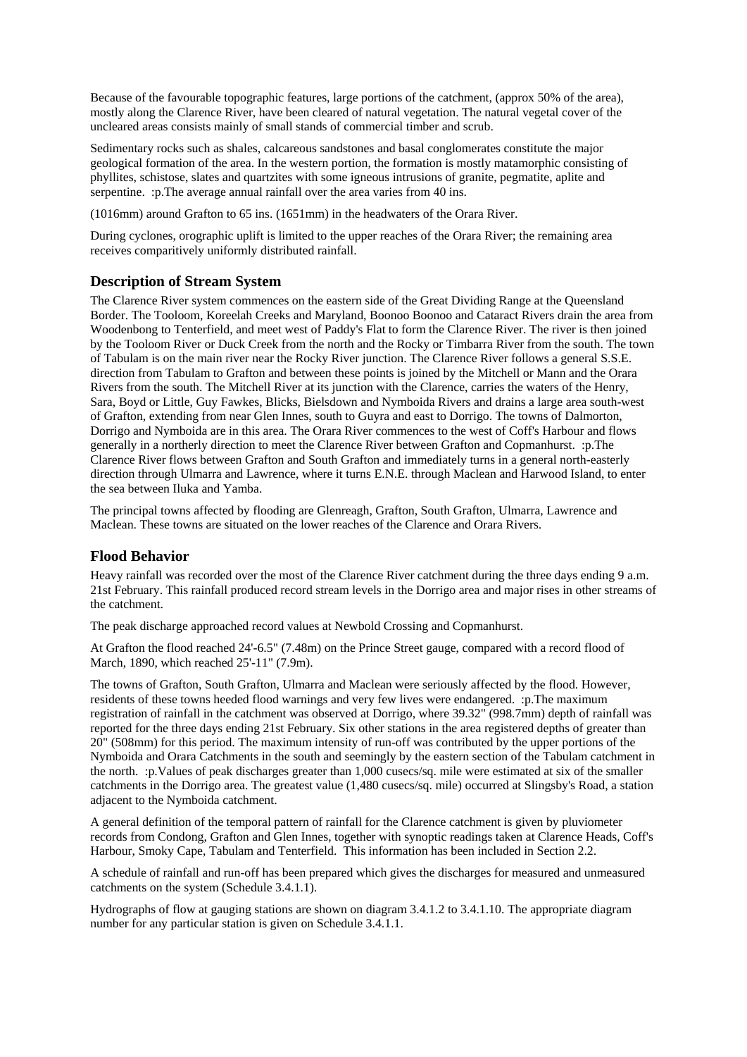Because of the favourable topographic features, large portions of the catchment, (approx 50% of the area), mostly along the Clarence River, have been cleared of natural vegetation. The natural vegetal cover of the uncleared areas consists mainly of small stands of commercial timber and scrub.

Sedimentary rocks such as shales, calcareous sandstones and basal conglomerates constitute the major geological formation of the area. In the western portion, the formation is mostly matamorphic consisting of phyllites, schistose, slates and quartzites with some igneous intrusions of granite, pegmatite, aplite and serpentine. : p. The average annual rainfall over the area varies from 40 ins.

(1016mm) around Grafton to 65 ins. (1651mm) in the headwaters of the Orara River.

During cyclones, orographic uplift is limited to the upper reaches of the Orara River; the remaining area receives comparitively uniformly distributed rainfall.

#### **Description of Stream System**

The Clarence River system commences on the eastern side of the Great Dividing Range at the Queensland Border. The Tooloom, Koreelah Creeks and Maryland, Boonoo Boonoo and Cataract Rivers drain the area from Woodenbong to Tenterfield, and meet west of Paddy's Flat to form the Clarence River. The river is then joined by the Tooloom River or Duck Creek from the north and the Rocky or Timbarra River from the south. The town of Tabulam is on the main river near the Rocky River junction. The Clarence River follows a general S.S.E. direction from Tabulam to Grafton and between these points is joined by the Mitchell or Mann and the Orara Rivers from the south. The Mitchell River at its junction with the Clarence, carries the waters of the Henry, Sara, Boyd or Little, Guy Fawkes, Blicks, Bielsdown and Nymboida Rivers and drains a large area south-west of Grafton, extending from near Glen Innes, south to Guyra and east to Dorrigo. The towns of Dalmorton, Dorrigo and Nymboida are in this area. The Orara River commences to the west of Coff's Harbour and flows generally in a northerly direction to meet the Clarence River between Grafton and Copmanhurst. :p.The Clarence River flows between Grafton and South Grafton and immediately turns in a general north-easterly direction through Ulmarra and Lawrence, where it turns E.N.E. through Maclean and Harwood Island, to enter the sea between Iluka and Yamba.

The principal towns affected by flooding are Glenreagh, Grafton, South Grafton, Ulmarra, Lawrence and Maclean. These towns are situated on the lower reaches of the Clarence and Orara Rivers.

#### **Flood Behavior**

Heavy rainfall was recorded over the most of the Clarence River catchment during the three days ending 9 a.m. 21st February. This rainfall produced record stream levels in the Dorrigo area and major rises in other streams of the catchment.

The peak discharge approached record values at Newbold Crossing and Copmanhurst.

At Grafton the flood reached 24'-6.5" (7.48m) on the Prince Street gauge, compared with a record flood of March, 1890, which reached 25'-11" (7.9m).

The towns of Grafton, South Grafton, Ulmarra and Maclean were seriously affected by the flood. However, residents of these towns heeded flood warnings and very few lives were endangered. :p.The maximum registration of rainfall in the catchment was observed at Dorrigo, where 39.32" (998.7mm) depth of rainfall was reported for the three days ending 21st February. Six other stations in the area registered depths of greater than 20" (508mm) for this period. The maximum intensity of run-off was contributed by the upper portions of the Nymboida and Orara Catchments in the south and seemingly by the eastern section of the Tabulam catchment in the north. :p.Values of peak discharges greater than 1,000 cusecs/sq. mile were estimated at six of the smaller catchments in the Dorrigo area. The greatest value (1,480 cusecs/sq. mile) occurred at Slingsby's Road, a station adjacent to the Nymboida catchment.

A general definition of the temporal pattern of rainfall for the Clarence catchment is given by pluviometer records from Condong, Grafton and Glen Innes, together with synoptic readings taken at Clarence Heads, Coff's Harbour, Smoky Cape, Tabulam and Tenterfield. This information has been included in Section 2.2.

A schedule of rainfall and run-off has been prepared which gives the discharges for measured and unmeasured catchments on the system (Schedule 3.4.1.1).

Hydrographs of flow at gauging stations are shown on diagram 3.4.1.2 to 3.4.1.10. The appropriate diagram number for any particular station is given on Schedule 3.4.1.1.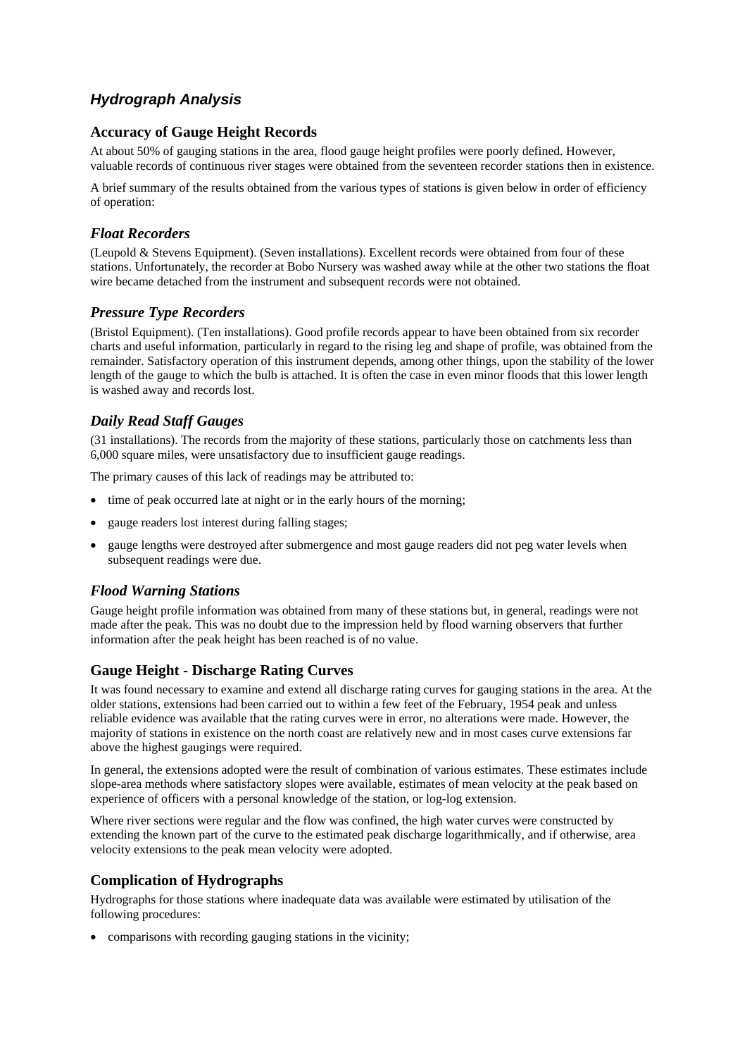### *Hydrograph Analysis*

#### **Accuracy of Gauge Height Records**

At about 50% of gauging stations in the area, flood gauge height profiles were poorly defined. However, valuable records of continuous river stages were obtained from the seventeen recorder stations then in existence.

A brief summary of the results obtained from the various types of stations is given below in order of efficiency of operation:

#### *Float Recorders*

(Leupold & Stevens Equipment). (Seven installations). Excellent records were obtained from four of these stations. Unfortunately, the recorder at Bobo Nursery was washed away while at the other two stations the float wire became detached from the instrument and subsequent records were not obtained.

#### *Pressure Type Recorders*

(Bristol Equipment). (Ten installations). Good profile records appear to have been obtained from six recorder charts and useful information, particularly in regard to the rising leg and shape of profile, was obtained from the remainder. Satisfactory operation of this instrument depends, among other things, upon the stability of the lower length of the gauge to which the bulb is attached. It is often the case in even minor floods that this lower length is washed away and records lost.

#### *Daily Read Staff Gauges*

(31 installations). The records from the majority of these stations, particularly those on catchments less than 6,000 square miles, were unsatisfactory due to insufficient gauge readings.

The primary causes of this lack of readings may be attributed to:

- time of peak occurred late at night or in the early hours of the morning;
- gauge readers lost interest during falling stages;
- gauge lengths were destroyed after submergence and most gauge readers did not peg water levels when subsequent readings were due.

#### *Flood Warning Stations*

Gauge height profile information was obtained from many of these stations but, in general, readings were not made after the peak. This was no doubt due to the impression held by flood warning observers that further information after the peak height has been reached is of no value.

#### **Gauge Height - Discharge Rating Curves**

It was found necessary to examine and extend all discharge rating curves for gauging stations in the area. At the older stations, extensions had been carried out to within a few feet of the February, 1954 peak and unless reliable evidence was available that the rating curves were in error, no alterations were made. However, the majority of stations in existence on the north coast are relatively new and in most cases curve extensions far above the highest gaugings were required.

In general, the extensions adopted were the result of combination of various estimates. These estimates include slope-area methods where satisfactory slopes were available, estimates of mean velocity at the peak based on experience of officers with a personal knowledge of the station, or log-log extension.

Where river sections were regular and the flow was confined, the high water curves were constructed by extending the known part of the curve to the estimated peak discharge logarithmically, and if otherwise, area velocity extensions to the peak mean velocity were adopted.

#### **Complication of Hydrographs**

Hydrographs for those stations where inadequate data was available were estimated by utilisation of the following procedures:

comparisons with recording gauging stations in the vicinity;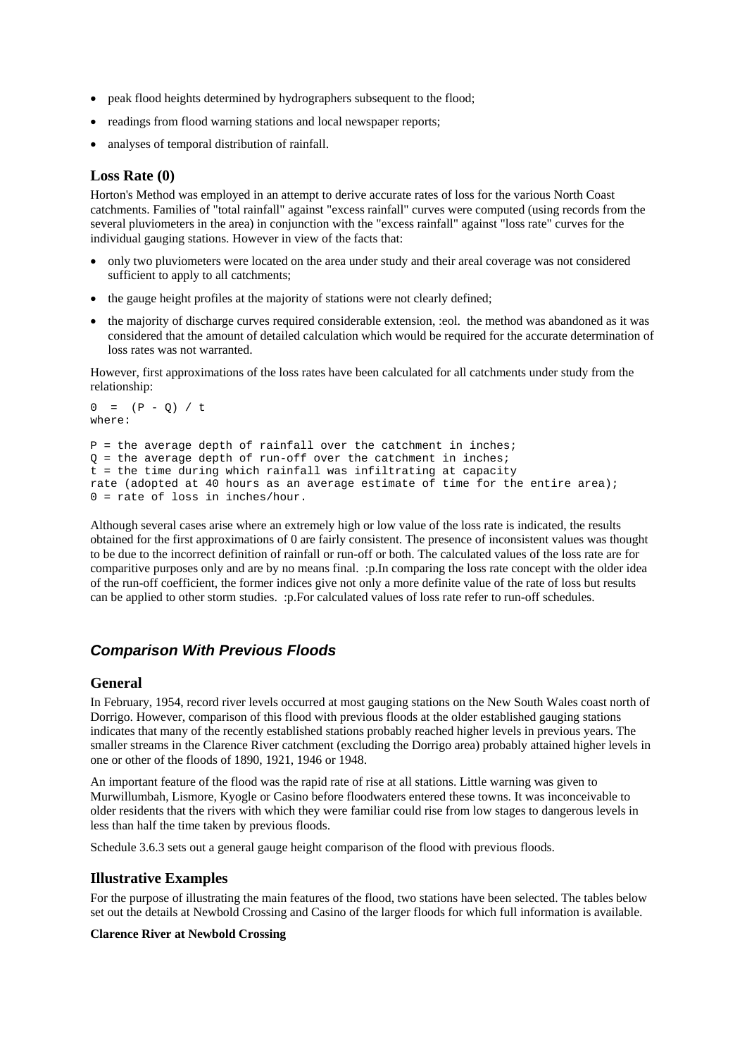- peak flood heights determined by hydrographers subsequent to the flood;
- readings from flood warning stations and local newspaper reports;
- analyses of temporal distribution of rainfall.

#### **Loss Rate (0)**

Horton's Method was employed in an attempt to derive accurate rates of loss for the various North Coast catchments. Families of "total rainfall" against "excess rainfall" curves were computed (using records from the several pluviometers in the area) in conjunction with the "excess rainfall" against "loss rate" curves for the individual gauging stations. However in view of the facts that:

- only two pluviometers were located on the area under study and their areal coverage was not considered sufficient to apply to all catchments;
- the gauge height profiles at the majority of stations were not clearly defined;
- the majority of discharge curves required considerable extension, :eol. the method was abandoned as it was considered that the amount of detailed calculation which would be required for the accurate determination of loss rates was not warranted.

However, first approximations of the loss rates have been calculated for all catchments under study from the relationship:

```
0 = (P - Q) / twhere: 
P = the average depth of rainfall over the catchment in inches;
Q = the average depth of run-off over the catchment in inches;
t = the time during which rainfall was infiltrating at capacity 
rate (adopted at 40 hours as an average estimate of time for the entire area); 
0 = rate of loss in inches/hour.
```
Although several cases arise where an extremely high or low value of the loss rate is indicated, the results obtained for the first approximations of 0 are fairly consistent. The presence of inconsistent values was thought to be due to the incorrect definition of rainfall or run-off or both. The calculated values of the loss rate are for comparitive purposes only and are by no means final. :p.In comparing the loss rate concept with the older idea of the run-off coefficient, the former indices give not only a more definite value of the rate of loss but results can be applied to other storm studies. :p.For calculated values of loss rate refer to run-off schedules.

#### *Comparison With Previous Floods*

#### **General**

In February, 1954, record river levels occurred at most gauging stations on the New South Wales coast north of Dorrigo. However, comparison of this flood with previous floods at the older established gauging stations indicates that many of the recently established stations probably reached higher levels in previous years. The smaller streams in the Clarence River catchment (excluding the Dorrigo area) probably attained higher levels in one or other of the floods of 1890, 1921, 1946 or 1948.

An important feature of the flood was the rapid rate of rise at all stations. Little warning was given to Murwillumbah, Lismore, Kyogle or Casino before floodwaters entered these towns. It was inconceivable to older residents that the rivers with which they were familiar could rise from low stages to dangerous levels in less than half the time taken by previous floods.

Schedule 3.6.3 sets out a general gauge height comparison of the flood with previous floods.

#### **Illustrative Examples**

For the purpose of illustrating the main features of the flood, two stations have been selected. The tables below set out the details at Newbold Crossing and Casino of the larger floods for which full information is available.

#### **Clarence River at Newbold Crossing**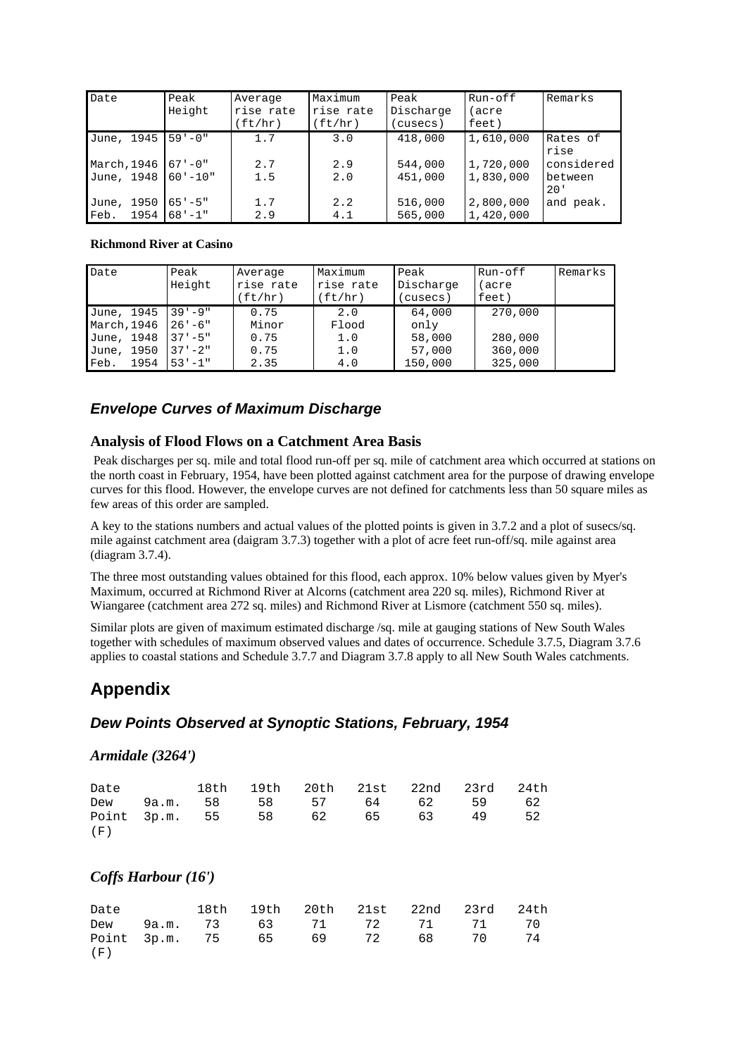| Date          | Peak<br>Height | Average<br>rise rate<br>(ft/hr) | Maximum<br>rise rate<br>(ft/hr) | Peak<br>Discharge<br>(cusecs) | Run-off<br>(acre<br>feet) | Remarks          |
|---------------|----------------|---------------------------------|---------------------------------|-------------------------------|---------------------------|------------------|
| June, 1945    | $59 - 0$ "     | 1.7                             | 3.0                             | 418,000                       | 1,610,000                 | Rates of<br>rise |
| March, 1946   | $67 - 0$ "     | 2.7                             | 2.9                             | 544,000                       | 1,720,000                 | considered       |
| June, 1948    | $60 - 10$ "    | 1.5                             | 2.0                             | 451,000                       | 1,830,000                 | between<br>20'   |
| 1950<br>June, | $65 - 5$ "     | 1.7                             | 2.2                             | 516,000                       | 2,800,000                 | and peak.        |
| 1954<br>Feb.  | $68 - 1$       | 2.9                             | 4.1                             | 565,000                       | 1,420,000                 |                  |

#### **Richmond River at Casino**

| Date                                                                  | Peak<br>Height                                                  | Average<br>rise rate<br>(ft/hr)       | Maximum<br>rise rate<br>(ft/hr)   | Peak<br>Discharge<br>(cusecs)                 | Run-off<br>(acre<br>feet)                | Remarks |
|-----------------------------------------------------------------------|-----------------------------------------------------------------|---------------------------------------|-----------------------------------|-----------------------------------------------|------------------------------------------|---------|
| June, 1945<br>March, 1946<br>June, 1948<br>June, 1950<br>Feb.<br>1954 | $39 - 9$<br>$26' - 6''$<br>$37 - 5$ "<br>$37 - 2$<br>$53 - 1$ " | 0.75<br>Minor<br>0.75<br>0.75<br>2.35 | 2.0<br>Flood<br>1.0<br>1.0<br>4.0 | 64,000<br>only<br>58,000<br>57,000<br>150,000 | 270,000<br>280,000<br>360,000<br>325,000 |         |

### *Envelope Curves of Maximum Discharge*

#### **Analysis of Flood Flows on a Catchment Area Basis**

 Peak discharges per sq. mile and total flood run-off per sq. mile of catchment area which occurred at stations on the north coast in February, 1954, have been plotted against catchment area for the purpose of drawing envelope curves for this flood. However, the envelope curves are not defined for catchments less than 50 square miles as few areas of this order are sampled.

A key to the stations numbers and actual values of the plotted points is given in 3.7.2 and a plot of susecs/sq. mile against catchment area (daigram 3.7.3) together with a plot of acre feet run-off/sq. mile against area (diagram 3.7.4).

The three most outstanding values obtained for this flood, each approx. 10% below values given by Myer's Maximum, occurred at Richmond River at Alcorns (catchment area 220 sq. miles), Richmond River at Wiangaree (catchment area 272 sq. miles) and Richmond River at Lismore (catchment 550 sq. miles).

Similar plots are given of maximum estimated discharge /sq. mile at gauging stations of New South Wales together with schedules of maximum observed values and dates of occurrence. Schedule 3.7.5, Diagram 3.7.6 applies to coastal stations and Schedule 3.7.7 and Diagram 3.7.8 apply to all New South Wales catchments.

### **Appendix**

#### *Dew Points Observed at Synoptic Stations, February, 1954*

#### *Armidale (3264')*

|     |  |  | Date 18th 19th 20th 21st 22nd 23rd 24th |  |
|-----|--|--|-----------------------------------------|--|
|     |  |  | Dew 9a.m. 58 58 57 64 62 59 62          |  |
|     |  |  | Point 3p.m. 55 58 62 65 63 49 52        |  |
| (F) |  |  |                                         |  |

#### *Coffs Harbour (16')*

|     |  | Date 18th 19th 20th 21st 22nd 23rd 24th |  |  |
|-----|--|-----------------------------------------|--|--|
|     |  | Dew 9a.m. 73 63 71 72 71 71 70          |  |  |
|     |  | Point 3p.m. 75 65 69 72 68 70 74        |  |  |
| (F) |  |                                         |  |  |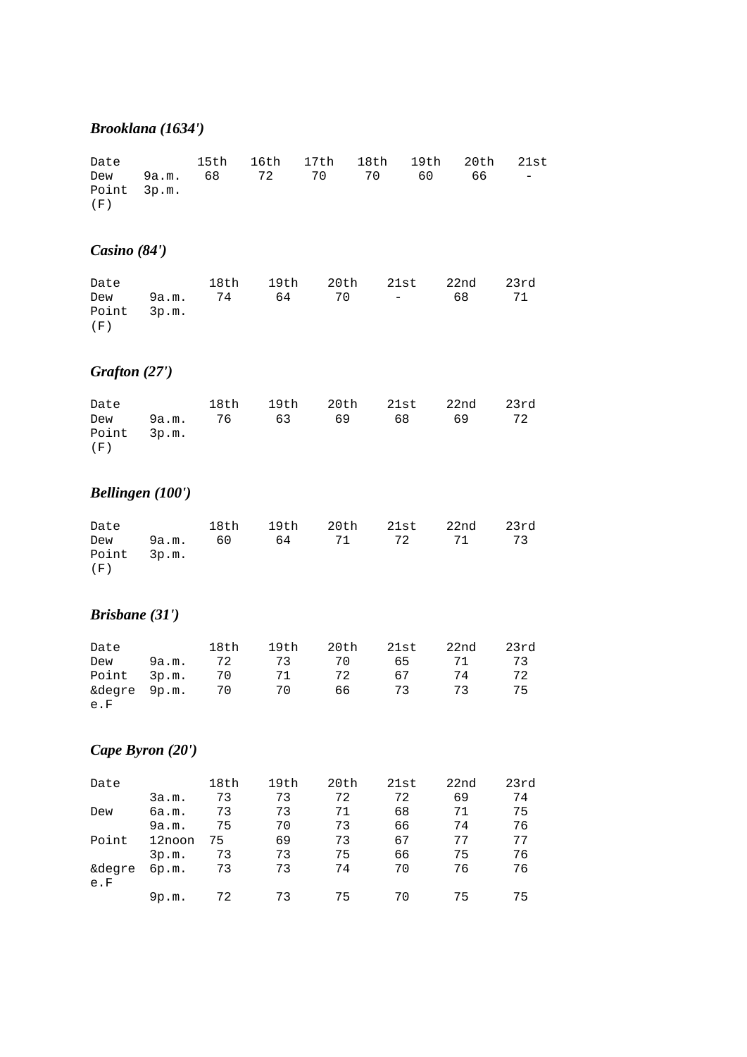### *Brooklana (1634')*

|             |  | Date 15th 16th 17th 18th 19th 20th 21st |  |  |
|-------------|--|-----------------------------------------|--|--|
|             |  | Dew 9a.m. 68 72 70 70 60 66 –           |  |  |
| Point 3p.m. |  |                                         |  |  |
| (F)         |  |                                         |  |  |

# *Casino (84')*

| Date                 |  | 18th 19th 20th 21st 22nd |  |      | 23rd |
|----------------------|--|--------------------------|--|------|------|
| Dew 9a.m. 74 64 70 – |  |                          |  | 68 - | 71   |
| Point 3p.m.          |  |                          |  |      |      |
| (F)                  |  |                          |  |      |      |

# *Grafton (27')*

| Date        |  | 18th 19th 20th 21st 22nd 23rd |  |    |
|-------------|--|-------------------------------|--|----|
|             |  | Dew 9a.m. 76 63 69 68 69      |  | 72 |
| Point 3p.m. |  |                               |  |    |
| (F)         |  |                               |  |    |

# *Bellingen (100')*

| Date                 |  |  | 18th 19th 20th 21st 22nd 23rd |  |
|----------------------|--|--|-------------------------------|--|
| Point 3p.m.<br>( F ) |  |  | Dew 9a.m. 60 64 71 72 71 73   |  |

# *Brisbane (31')*

| Date            |       | 18th | 19th |    | 20th 21st | 22nd | 23rd |
|-----------------|-------|------|------|----|-----------|------|------|
| Dew             | 9a.m. | 72   | 73   | 70 | 65 —      | 71   | -73  |
| Point 3p.m. 70  |       |      | 71   | 72 | 67        | 74   | 72   |
| &degre 9p.m. 70 |       |      | 70   | 66 | 73        | 73   | 75   |
| e.F             |       |      |      |    |           |      |      |

# *Cape Byron (20')*

| Date          |        | 18th | 19th | 20th | 21st | 22 <sub>nd</sub> | 23rd |
|---------------|--------|------|------|------|------|------------------|------|
|               | 3a.m.  | 73   | 73   | 72   | 72   | 69               | 74   |
| Dew           | 6a.m.  | 73   | 73   | 71   | 68   | 71               | 75   |
|               | 9a.m.  | 75   | 70   | 73   | 66   | 74               | 76   |
| Point         | 12noon | 75   | 69   | 73   | 67   | 77               | 77   |
|               | 3p.m.  | 73   | 73   | 75   | 66   | 75               | 76   |
| &degre<br>e.F | 6p.m.  | 73   | 73   | 74   | 70   | 76               | 76   |
|               | 9p.m.  | 72   | 73   | 75   | 70   | 75               | 75   |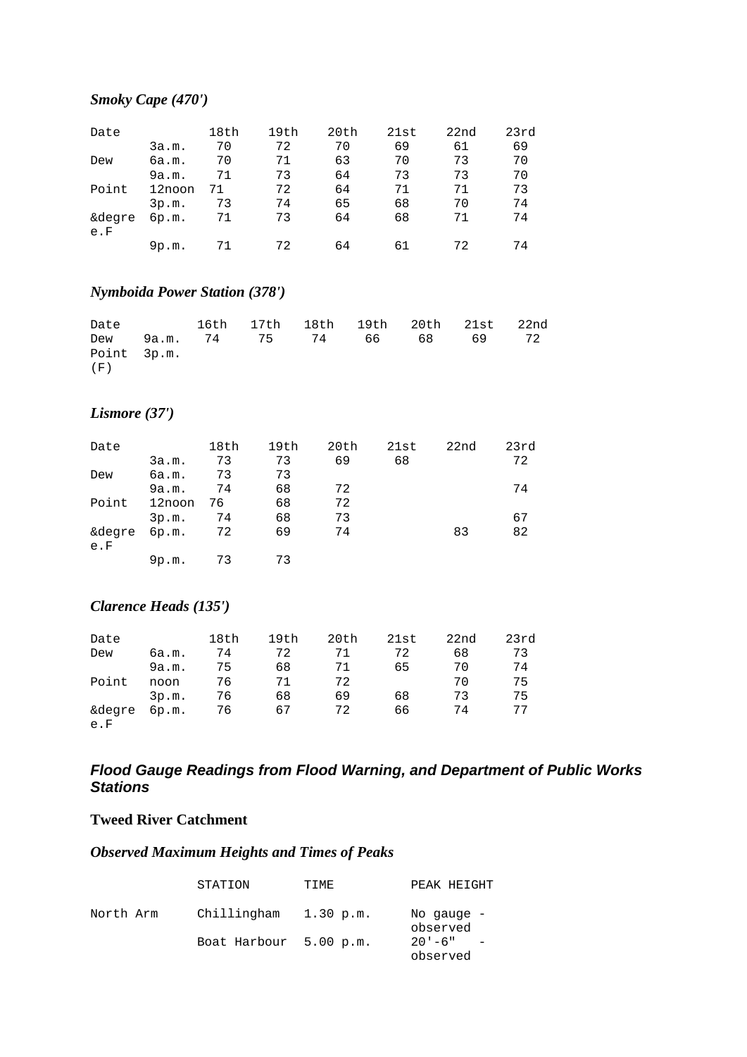### *Smoky Cape (470')*

| Date          |        | 18th | 19th | 20th | 21st | 22 <sub>nd</sub> | 23rd |
|---------------|--------|------|------|------|------|------------------|------|
|               | 3a.m.  | 70   | 72   | 70   | 69   | 61               | 69   |
| Dew           | 6a.m.  | 70   | 71   | 63   | 70   | 73               | 70   |
|               | 9a.m.  | 71   | 73   | 64   | 73   | 73               | 70   |
| Point         | 12noon | 71   | 72   | 64   | 71   | 71               | 73   |
|               | 3p.m.  | 73   | 74   | 65   | 68   | 70               | 74   |
| &degre<br>e.F | 6p.m.  | 71   | 73   | 64   | 68   | 71               | 74   |
|               | 9p.m.  | 71   | 72   | 64   | 61   | 72               | 74   |

### *Nymboida Power Station (378')*

| Date        |  |  |  | 16th 17th 18th 19th 20th 21st 22nd |  |
|-------------|--|--|--|------------------------------------|--|
|             |  |  |  | Dew 9a.m. 74 75 74 66 68 69 72     |  |
| Point 3p.m. |  |  |  |                                    |  |
| (F)         |  |  |  |                                    |  |

### *Lismore (37')*

| Date   |        | 18th | 19th | 20th | 21st | 22nd | 23rd |
|--------|--------|------|------|------|------|------|------|
|        | 3a.m.  | 73   | 73   | 69   | 68   |      | 72   |
| Dew    | 6a.m.  | 73   | 73   |      |      |      |      |
|        | 9a.m.  | 74   | 68   | 72   |      |      | 74   |
| Point  | 12noon | 76   | 68   | 72   |      |      |      |
|        | 3p.m.  | 74   | 68   | 73   |      |      | 67   |
| &degre | 6p.m.  | 72   | 69   | 74   |      | 83   | 82   |
| e.F    |        |      |      |      |      |      |      |
|        | 9p.m.  | 73   | 73   |      |      |      |      |

### *Clarence Heads (135')*

| Date   |       | 18th | 19th | 20th | 21st | 22nd | 23rd |
|--------|-------|------|------|------|------|------|------|
| Dew    | 6a.m. | 74   | 72   | 71   | 72   | 68   | 73   |
|        | 9a.m. | 75   | 68   | 71   | 65   | 70   | 74   |
| Point  | noon  | 76   | 71   | 72   |      | 70   | 75   |
|        | 3p.m. | 76   | 68   | 69   | 68   | 73   | 75   |
| &degre | 6p.m. | 76   | 67   | 72   | 66   | 74   | 77   |
| e.F    |       |      |      |      |      |      |      |

### *Flood Gauge Readings from Flood Warning, and Department of Public Works Stations*

#### **Tweed River Catchment**

### *Observed Maximum Heights and Times of Peaks*

|           | STATION                | TIME      | PEAK HEIGHT              |
|-----------|------------------------|-----------|--------------------------|
| North Arm | Chillingham            | 1.30 p.m. | No gauge $-$<br>observed |
|           | Boat Harbour 5.00 p.m. |           | $20' - 6''$<br>observed  |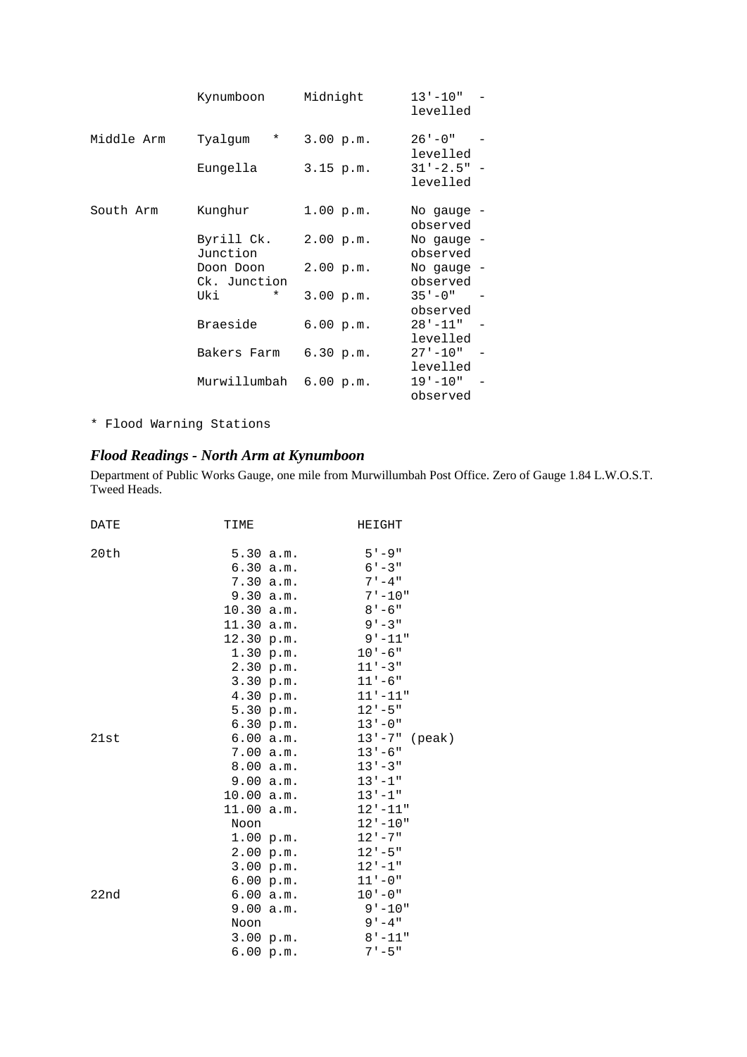|            | Kynumboon                 | Midnight    | $13 - 10$ "<br>levelled    |
|------------|---------------------------|-------------|----------------------------|
| Middle Arm | Tyalqum<br>$^\star$       | 3.00 p.m.   | $26' - 0''$<br>levelled    |
|            | Eungella                  | $3.15$ p.m. | $31' - 2.5" -$<br>levelled |
| South Arm  | Kunghur                   | 1.00 p.m.   | No gauge -<br>observed     |
|            | Byrill Ck.<br>Junction    | 2.00 p.m.   | No gauge -<br>observed     |
|            | Doon Doon<br>Ck. Junction | 2.00 p.m.   | No gauge -<br>observed     |
|            | Uki<br>$\star$            | 3.00 p.m.   | $35 - 0$ "<br>observed     |
|            | Braeside                  | 6.00 p.m.   | $28 - 11"$<br>levelled     |
|            | Bakers Farm               | 6.30 p.m.   | $27 - 10$ "<br>levelled    |
|            | Murwillumbah              | 6.00 p.m.   | $19 - 10$ "<br>observed    |

\* Flood Warning Stations

### *Flood Readings - North Arm at Kynumboon*

Department of Public Works Gauge, one mile from Murwillumbah Post Office. Zero of Gauge 1.84 L.W.O.S.T. Tweed Heads.

| DATE | TIME                   | HEIGHT                  |
|------|------------------------|-------------------------|
| 20th | 5.30 a.m.<br>6.30 a.m. | $5 - 9$ "<br>$6' - 3''$ |
|      | 7.30 a.m.              | $7 - 4$ "               |
|      | 9.30 a.m.              | $7 - 10"$               |
|      | 10.30 a.m.             | $8 - 6$                 |
|      | 11.30 a.m.             | $9 - 3$ "               |
|      | 12.30 p.m.             | $9 - 11$ "              |
|      | 1.30 p.m.              | $10 - 6$ "              |
|      | 2.30 p.m.              | $11 - 3$ "              |
|      | 3.30 p.m.              | $11 - 6$ "              |
|      | 4.30 p.m.              | $11 - 11$ "             |
|      | 5.30 p.m.              | $12 - 5$ "              |
|      | 6.30 p.m.              | $13 - 0$ "              |
| 21st | 6.00 a.m.              | $13' - 7"$ (peak)       |
|      | 7.00 a.m.              | $13 - 6$ "              |
|      | 8.00 a.m.              | $13 - 3$ "              |
|      | 9.00 a.m.              | $13 - 1$ "              |
|      | 10.00 a.m.             | $13 - 1$ "              |
|      | 11.00 a.m.             | $12 - 11$ "             |
|      | Noon                   | $12 - 10$ "             |
|      | 1.00 p.m.              | $12 - 7$                |
|      | 2.00 p.m.              | $12 - 5$ "              |
|      | 3.00 p.m.              | $12 - 1$                |
|      | 6.00 p.m.              | $11 - 0$ "              |
| 22nd | 6.00 a.m.              | $10 - 0$ "              |
|      | 9.00 a.m.              | $9 - 10"$               |
|      | Noon                   | $9 - 4$ "               |
|      | 3.00 p.m.              | $8 - 11$                |
|      | 6.00 p.m.              | $7 - 5$ "               |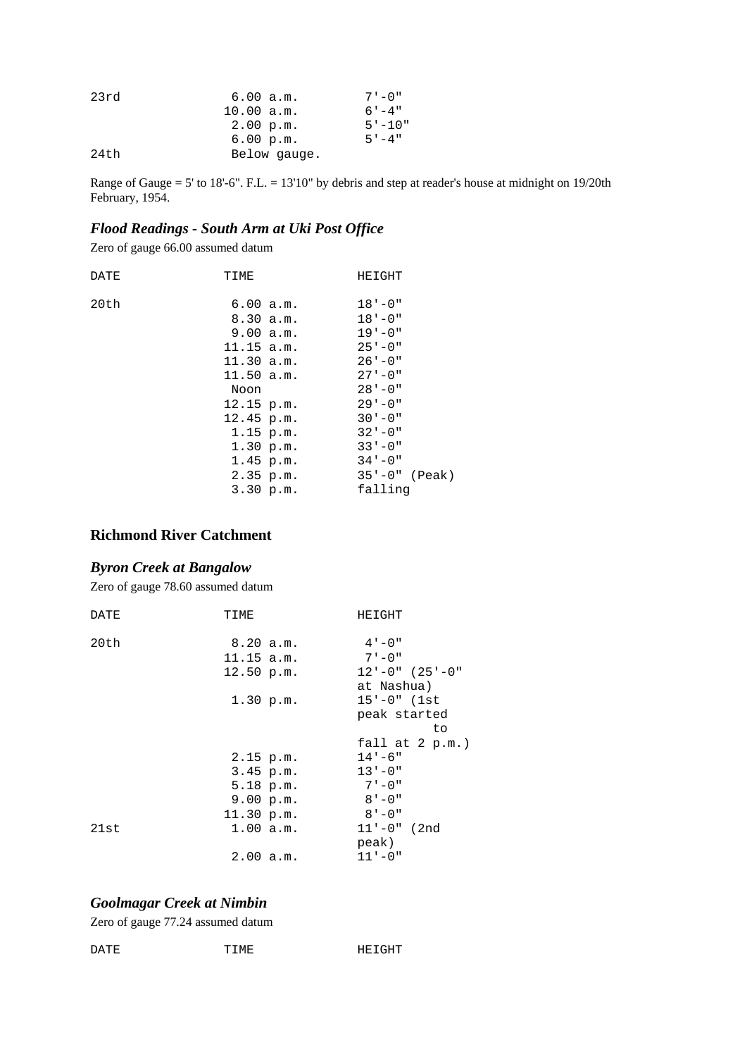| 23rd | 6.00 a.m.    | $7 - 0''$  |
|------|--------------|------------|
|      | 10.00 a.m.   | $6' - 4''$ |
|      | 2.00 p.m.    | $5 - 10"$  |
|      | 6.00 p.m.    | $5 - 4$ "  |
| 24th | Below gauge. |            |

Range of Gauge = 5' to 18'-6". F.L. = 13'10" by debris and step at reader's house at midnight on 19/20th February, 1954.

### *Flood Readings - South Arm at Uki Post Office*

Zero of gauge 66.00 assumed datum

| DATE | TIME                                                     | HEIGHT                                                |
|------|----------------------------------------------------------|-------------------------------------------------------|
| 20th | 6.00 a.m.<br>8.30 a.m.<br>9.00 a.m.<br>$11.15$ a.m.      | $18' - 0''$<br>$18 - 0$ "<br>$19 - 0$ "<br>$25 - 0$ " |
|      | 11.30 a.m.<br>11.50 a.m.<br>Noon                         | $26' - 0''$<br>$27 - 0$ "<br>$28' - 0''$              |
|      | $12.15$ p.m.<br>$12.45$ p.m.<br>$1.15$ p.m.<br>1.30 p.m. | $29 - 0$ "<br>$30 - 0$ "<br>$32 - 0$ "<br>$33 - 0$ "  |
|      | 1.45 p.m.<br>2.35 p.m.<br>3.30 p.m.                      | $34 - 0$ "<br>$35' - 0''$ (Peak)<br>falling           |

#### **Richmond River Catchment**

#### *Byron Creek at Bangalow*

Zero of gauge 78.60 assumed datum

| DATE | TIME         | HEIGHT             |
|------|--------------|--------------------|
| 20th | 8.20 a.m.    | $4 - 0$ "          |
|      | $11.15$ a.m. | $7 - 0$ "          |
|      |              | $12 - 0$ " (25'-0" |
|      | $12.50$ p.m. |                    |
|      |              | at Nashua)         |
|      | 1.30 p.m.    | $15' - 0"$ (1st    |
|      |              | peak started       |
|      |              | to                 |
|      |              |                    |
|      |              | fall at $2 p.m.$ ) |
|      | $2.15$ p.m.  | $14 - 6$ "         |
|      | 3.45 p.m.    | $13 - 0$ "         |
|      | 5.18 p.m.    | $7 - 0$ "          |
|      | 9.00 p.m.    | $8' - 0''$         |
|      | 11.30 p.m.   | $8' - 0''$         |
| 21st | 1.00 a.m.    | $11' - 0''$ (2nd   |
|      |              | peak)              |

#### *Goolmagar Creek at Nimbin*

Zero of gauge 77.24 assumed datum

| DATE | "IME<br>. | ᅚᅜᅚᄼᄖᅲ |
|------|-----------|--------|
|      |           |        |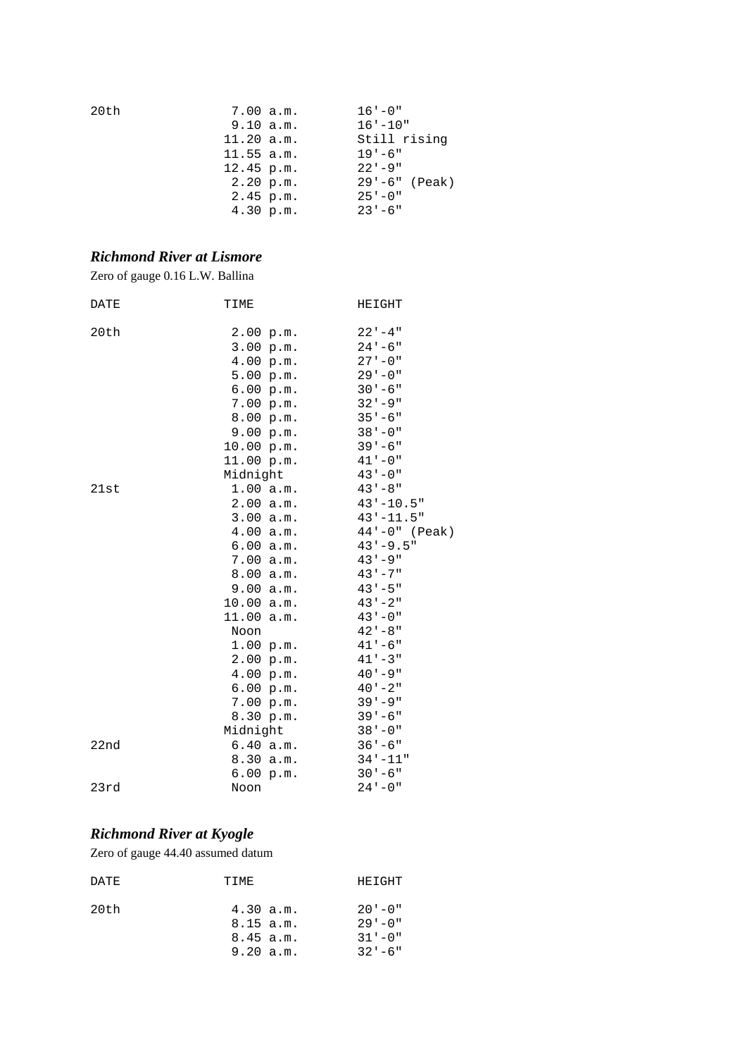| 20th | 7.00 a.m.    | $16' - 0''$        |
|------|--------------|--------------------|
|      | 9.10 a.m.    | $16' - 10''$       |
|      | 11.20 a.m.   | Still rising       |
|      | $11.55$ a.m. | $19' - 6''$        |
|      | $12.45$ p.m. | $22 - 9$ "         |
|      | 2.20 p.m.    | $29' - 6''$ (Peak) |
|      | $2.45$ p.m.  | $25 - 0$ "         |
|      | 4.30 p.m.    | $23 - 6$ "         |

### *Richmond River at Lismore*

Zero of gauge 0.16 L.W. Ballina

| DATE | TIME       | HEIGHT             |
|------|------------|--------------------|
| 20th | 2.00 p.m.  | $22 - 4$ "         |
|      | 3.00 p.m.  | $24 - 6$ "         |
|      | 4.00 p.m.  | $27 - 0$ "         |
|      | 5.00 p.m.  | $29 - 0$ "         |
|      | 6.00 p.m.  | $30 - 6$ "         |
|      | 7.00 p.m.  | $32 - 9$           |
|      | 8.00 p.m.  | $35 - 6$           |
|      | 9.00 p.m.  | $38 - 0$ "         |
|      | 10.00 p.m. | $39 - 6$ "         |
|      | 11.00 p.m. | $41 - 0$ "         |
|      | Midnight   | $43 - 0$ "         |
| 21st | 1.00 a.m.  | $43 - 8$ "         |
|      | 2.00 a.m.  | $43 - 10.5$ "      |
|      | 3.00 a.m.  | $43 - 11.5$ "      |
|      | 4.00 a.m.  | $44' - 0''$ (Peak) |
|      | 6.00 a.m.  | $43 - 9.5$ "       |
|      | 7.00 a.m.  | $43 - 9$ "         |
|      | 8.00 a.m.  | $43 - 7$ "         |
|      | 9.00 a.m.  | $43 - 5$ "         |
|      | 10.00 a.m. | $43 - 2$           |
|      | 11.00 a.m. | $43 - 0$ "         |
|      | Noon       | $42 - 8$ "         |
|      | 1.00 p.m.  | $41 - 6$ "         |
|      | 2.00 p.m.  | $41 - 3$ "         |
|      | 4.00 p.m.  | $40 - 9$ "         |
|      | 6.00 p.m.  | $40 - 2$ "         |
|      | 7.00 p.m.  | $39 - 9$           |
|      | 8.30 p.m.  | $39 - 6$ "         |
|      | Midnight   | $38 - 0$           |
| 22nd | 6.40 a.m.  | $36 - 6$ "         |
|      | 8.30 a.m.  | $34 - 11$ "        |
|      | 6.00 p.m.  | $30 - 6$ "         |
| 23rd | Noon       | $24 - 0$ "         |

# *Richmond River at Kyogle*

Zero of gauge 44.40 assumed datum

| DATE. | TTMF.                                              | HEIGHT                                               |
|-------|----------------------------------------------------|------------------------------------------------------|
| 20th  | 4.30 a.m.<br>8.15 a.m.<br>$8.45$ a.m.<br>9.20 a.m. | $20' - 0''$<br>$29' - 0''$<br>$31 - 0$ "<br>$32 - 6$ |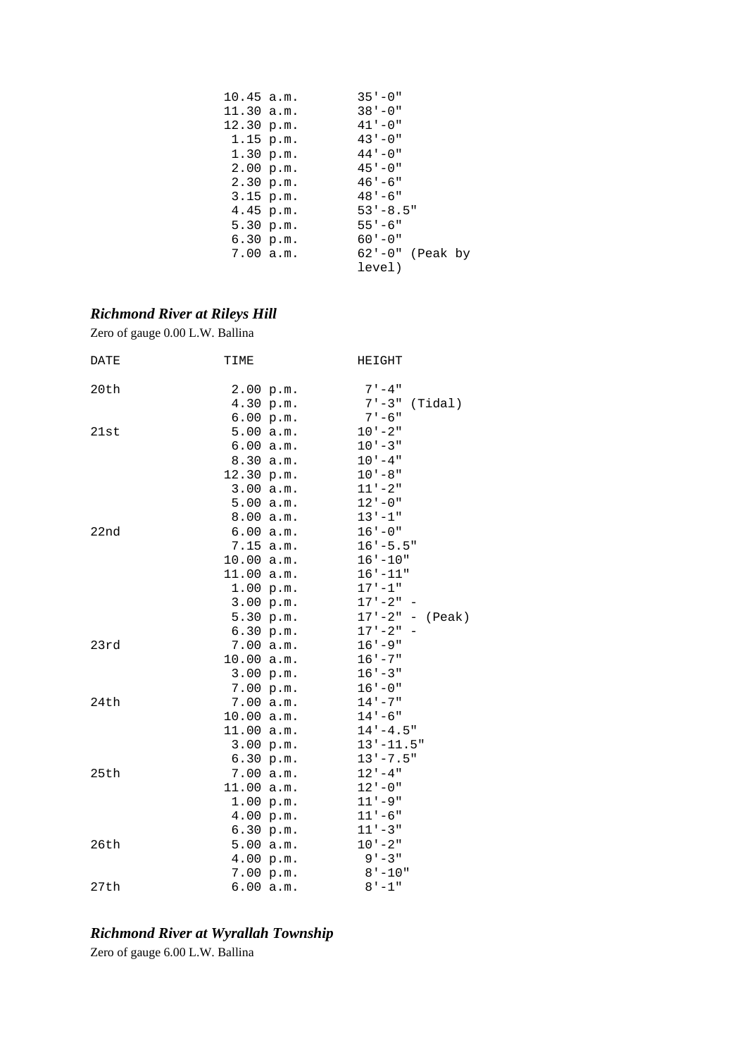| $10.45$ a.m. |             | $35 - 0$ "           |
|--------------|-------------|----------------------|
| 11.30 a.m.   |             | $38 - 0$             |
| 12.30 p.m.   |             | $41 - 0$ "           |
| 1.15 p.m.    |             | $43 - 0$ "           |
|              | 1.30 p.m.   | $44 - 0$ "           |
| 2.00 p.m.    |             | $45 - 0$ "           |
|              | 2.30 p.m.   | $46 - 6$ "           |
|              | $3.15$ p.m. | $48 - 6$             |
| 4.45 p.m.    |             | $53' - 8.5''$        |
| 5.30 p.m.    |             | $55 - 6$             |
|              | 6.30 p.m.   | $60 - 0$ "           |
|              | 7.00 a.m.   | $62' - 0''$ (Peak by |
|              |             | level)               |

# *Richmond River at Rileys Hill*

Zero of gauge 0.00 L.W. Ballina

| DATE | TIME       |           | HEIGHT              |
|------|------------|-----------|---------------------|
| 20th |            | 2.00 p.m. | $7 - 4$ "           |
|      |            | 4.30 p.m. | $7' - 3"$ (Tidal)   |
|      |            | 6.00 p.m. | $7 - 6$ "           |
| 21st |            | 5.00 a.m. | $10 - 2$ "          |
|      |            | 6.00 a.m. | $10 - 3$ "          |
|      |            | 8.30 a.m. | $10 - 4$ "          |
|      | 12.30 p.m. |           | $10 - 8$ "          |
|      |            | 3.00 a.m. | $11 - 2$ "          |
|      |            | 5.00 a.m. | $12 - 0$ "          |
|      |            | 8.00 a.m. | $13 - 1$ "          |
| 22nd |            | 6.00 a.m. | $16 - 0$ "          |
|      | 7.15 a.m.  |           | $16' - 5.5"$        |
|      | 10.00 a.m. |           | $16 - 10$ "         |
|      | 11.00 a.m. |           | $16 - 11$ "         |
|      |            | 1.00 p.m. | $17 - 1$ "          |
|      |            | 3.00 p.m. | $17 - 2 - -$        |
|      |            | 5.30 p.m. | $17' - 2" - (Peak)$ |
|      |            | 6.30 p.m. | $17 - 2 - -$        |
| 23rd |            | 7.00 a.m. | $16 - 9$ "          |
|      | 10.00 a.m. |           | $16 - 7$ "          |
|      |            | 3.00 p.m. | $16 - 3$ "          |
|      |            | 7.00 p.m. | $16 - 0$ "          |
| 24th |            | 7.00 a.m. | $14 - 7$ "          |
|      | 10.00 a.m. |           | $14 - 6$ "          |
|      | 11.00 a.m. |           | $14 - 4.5$ "        |
|      |            | 3.00 p.m. | $13 - 11.5$ "       |
|      |            | 6.30 p.m. | $13 - 7.5$ "        |
| 25th |            | 7.00 a.m. | $12 - 4$ "          |
|      | 11.00 a.m. |           | $12 - 0$ "          |
|      |            | 1.00 p.m. | $11 - 9$ "          |
|      |            | 4.00 p.m. | $11 - 6$ "          |
|      |            | 6.30 p.m. | $11 - 3$ "          |
| 26th |            | 5.00 a.m. | $10 - 2$ "          |
|      |            | 4.00 p.m. | $9 - 3$ "           |
|      |            | 7.00 p.m. | $8 - 10$ "          |
| 27th |            | 6.00 a.m. | $8 - 1$ "           |

# *Richmond River at Wyrallah Township*

Zero of gauge 6.00 L.W. Ballina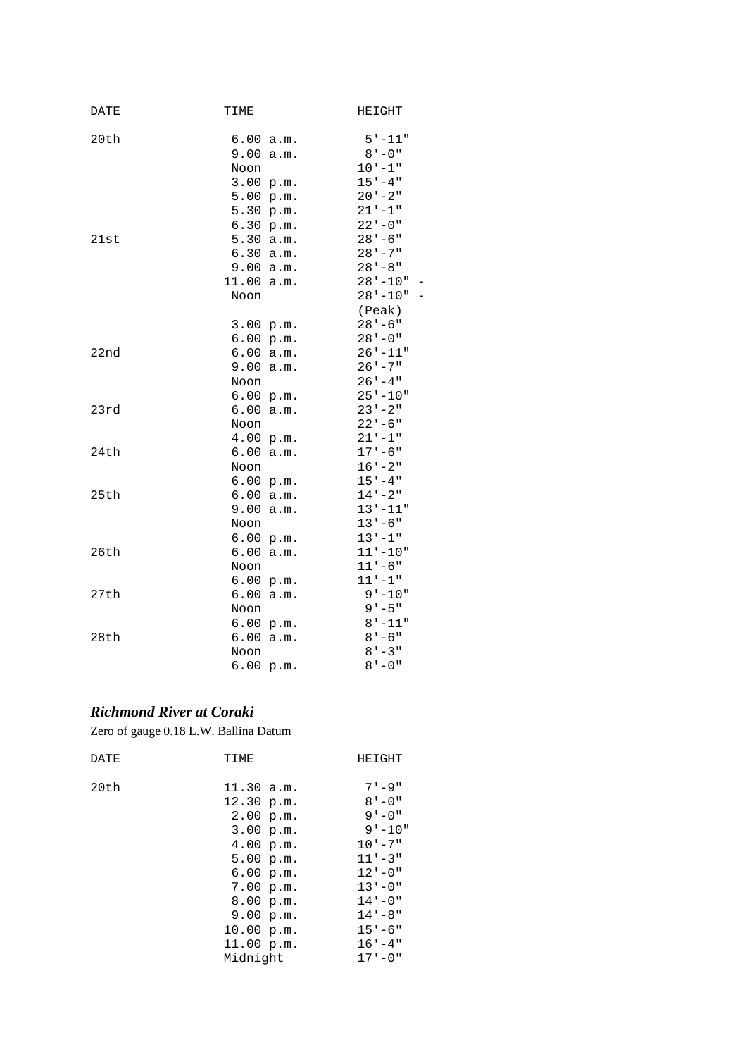| DATE | TIME         |                        | HEIGHT                    |
|------|--------------|------------------------|---------------------------|
| 20th |              | 6.00 a.m.              | 5'-11"                    |
|      | 9.00         | a.m.                   | $8 - 0$ "                 |
|      | Noon         |                        | $10 - 1$ "                |
|      |              | 3.00 p.m.              | $15 - 4$ "                |
|      |              | 5.00 p.m.              | $20 - 2$ "                |
|      |              | 5.30 p.m.              | $21 - 1$                  |
|      |              | 6.30 p.m.              | $22 - 0$ "                |
| 21st |              | 5.30 a.m.              | $28 - 6$                  |
|      |              | 6.30 a.m.              | $28 - 7$                  |
|      | 9.00         | a.m.                   | $28 - 8$                  |
|      | 11.00        | a.m.                   | $28 - 10$ "               |
|      | Noon         |                        | $28 - 10$ "               |
|      |              |                        | (Peak)                    |
|      |              | 3.00 p.m.              | $28 - 6$ "                |
|      |              | 6.00 p.m.              | $28 - 0$ "                |
| 22nd |              | 6.00 a.m.              | $26' - 11"$               |
|      | 9.00         | a.m.                   | $26 - 7$ "                |
|      | Noon         |                        | $26 - 4$ "                |
|      |              | 6.00 p.m.              | $25' - 10"$               |
| 23rd | 6.00         | a.m.                   | $23 - 2$ "                |
|      | Noon         |                        | $22 - 6$ "                |
|      |              | 4.00 p.m.              | $21 - 1$                  |
| 24th | 6.00         | a.m.                   | $17 - 6$ "                |
|      | Noon         |                        | $16 - 2$ "                |
|      |              | 6.00 p.m.              | $15 - 4$ "                |
| 25th |              | 6.00 a.m.              | $14 - 2$ "<br>$13 - 11$ " |
|      | 9.00<br>Noon | a.m.                   | $13 - 6$ "                |
|      |              |                        | $13 - 1$ "                |
| 26th |              | 6.00 p.m.<br>6.00 a.m. | $11 - 10$ "               |
|      | Noon         |                        | $11 - 6$ "                |
|      |              | 6.00 p.m.              | $11 - 1$ "                |
| 27th |              | 6.00 a.m.              | $9 - 10"$                 |
|      | Noon         |                        | $9 - 5$ "                 |
|      |              | 6.00 p.m.              | $8 - 11$ "                |
| 28th |              | 6.00 a.m.              | $8' - 6''$                |
|      | Noon         |                        | $8' - 3''$                |
|      |              | 6.00 p.m.              | $8 - 0$ "                 |
|      |              |                        |                           |

### *Richmond River at Coraki*

Zero of gauge 0.18 L.W. Ballina Datum

| DATE | TIME                                                                                                                                                                     | HEIGHT                                                                                                                                                                            |
|------|--------------------------------------------------------------------------------------------------------------------------------------------------------------------------|-----------------------------------------------------------------------------------------------------------------------------------------------------------------------------------|
| 20th | 11.30 a.m.<br>12.30 p.m.<br>2.00 p.m.<br>3.00 p.m.<br>4.00 p.m.<br>5.00 p.m.<br>6.00 p.m.<br>7.00 p.m.<br>8.00 p.m.<br>9.00 p.m.<br>10.00 p.m.<br>11.00 p.m.<br>Midnight | $7 - 9$ "<br>$8' - 0''$<br>$9 - 0$ "<br>$9' - 10''$<br>$10 - 7$ "<br>$11 - 3$ "<br>$12 - 0$ "<br>$13 - 0$ "<br>$14 - 0$ "<br>$14 - 8$ "<br>$15 - 6$ "<br>$16 - 4$ "<br>$17 - 0$ " |
|      |                                                                                                                                                                          |                                                                                                                                                                                   |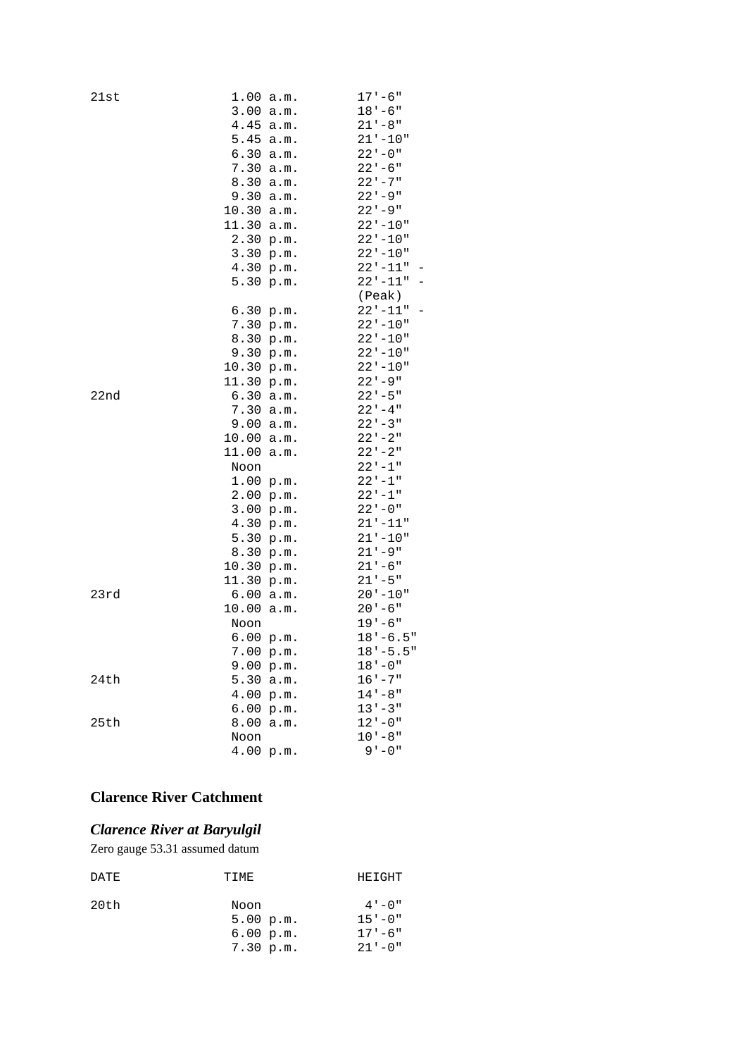| 21st | 1.00      | a.m. | $17 - 6$ "   |
|------|-----------|------|--------------|
|      | 3.00      | a.m. | 18'-6"       |
|      | 4.45      | a.m. | $21 - 8$ "   |
|      | 5.45      | a.m. | 21'-10"      |
|      | 6.30      | a.m. | $22 - 0$ "   |
|      | 7.30      | a.m. | $22 - 6$ "   |
|      | 8.30      | a.m. | $22 - 7$     |
|      | 9.30      | a.m. | 22'-9"       |
|      | 10.30     | a.m. | $22 - 9$ "   |
|      | 11.30     | a.m. | $22' - 10''$ |
|      | 2.30 p.m. |      | $22 - 10$ "  |
|      | 3.30      | p.m. | $22 - 10"$   |
|      | 4.30      | p.m. | $22 - 11$ "  |
|      | 5.30      | p.m. | $22 - 11$ "  |
|      |           |      | (Peak)       |
|      | 6.30      | p.m. | $22 - 11$ "  |
|      | 7.30      | p.m. | $22 - 10"$   |
|      | 8.30      | p.m. | $22' - 10''$ |
|      | 9.30      | p.m. | $22 - 10"$   |
|      | 10.30     | p.m. | $22 - 10$ "  |
|      | 11.30     | p.m. | $22 - 9$ "   |
| 22nd | 6.30      | a.m. | $22 - 5$ "   |
|      | 7.30      | a.m. | $22 - 4$ "   |
|      | 9.00      | a.m. | $22 - 3$ "   |
|      | 10.00     | a.m. | $22 - 2$ "   |
|      | 11.00     | a.m. | $22 - 2$     |
|      | Noon      |      | $22 - 1$ "   |
|      | 1.00      | p.m. | $22 - 1$     |
|      | 2.00 p.m. |      | $22 - 1$ "   |
|      | 3.00      | p.m. | $22 - 0$ "   |
|      | 4.30      | p.m. | $21 - 11$    |
|      | 5.30      | p.m. | $21 - 10$ "  |
|      | 8.30      | p.m. | $21 - 9$ "   |
|      | 10.30     | p.m. | $21 - 6$ "   |
|      | 11.30     | p.m. | $21 - 5$ "   |
| 23rd | 6.00      | a.m. | $20 - 10"$   |
|      | 10.00     | a.m. | $20 - 6$ "   |
|      | Noon      |      | $19 - 6$ "   |
|      | 6.00 p.m. |      | $18 - 6.5$ " |
|      | 7.00 p.m. |      | $18 - 5.5$ " |
|      | 9.00 p.m. |      | $18 - 0$ "   |
| 24th | 5.30      | a.m. | $16 - 7$ "   |
|      | 4.00      | p.m. | $14 - 8$ "   |
|      | 6.00      | p.m. | $13 - 3$ "   |
| 25th | 8.00      | a.m. | $12 - 0$ "   |
|      | Noon      |      | $10 - 8$ "   |
|      | 4.00 p.m. |      | $9 - 0$ "    |

# **Clarence River Catchment**

### *Clarence River at Baryulgil*

Zero gauge 53.31 assumed datum

| DATE | TIME                           | HEIGHT                                |
|------|--------------------------------|---------------------------------------|
| 20th | Noon<br>5.00 p.m.<br>6.00 p.m. | $4 - 0$ "<br>$15 - 0$ "<br>$17 - 6$ " |
|      | 7.30 p.m.                      | $21 - 0$ "                            |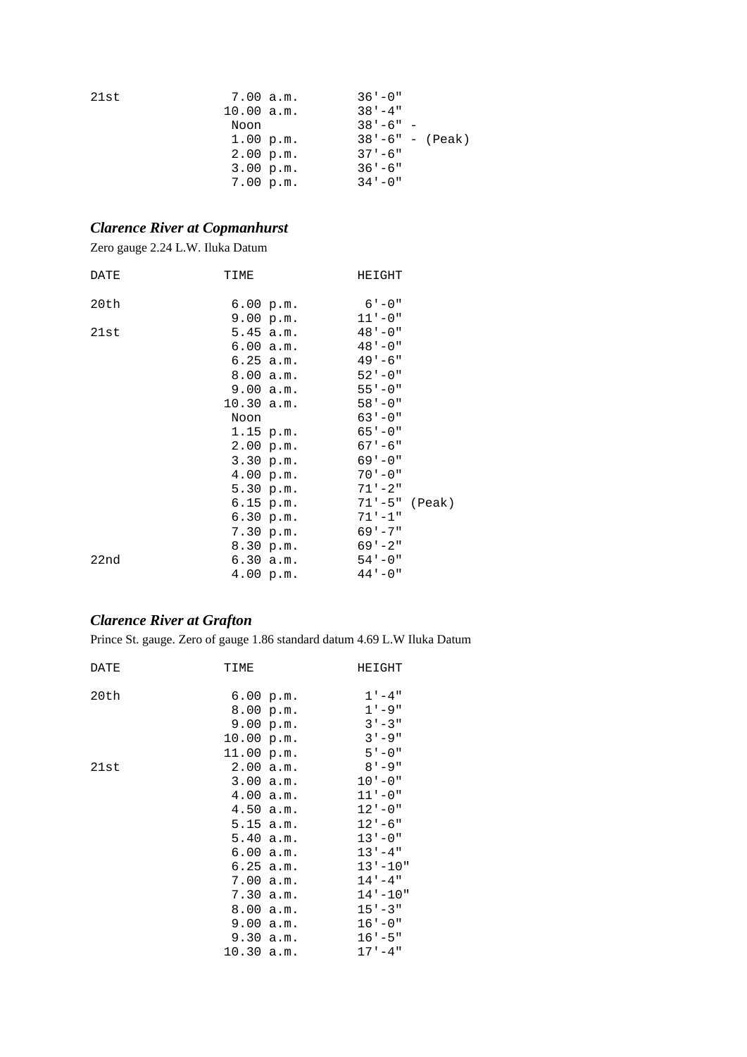| 21st | 7.00 a.m.  | $36' - 0''$         |
|------|------------|---------------------|
|      | 10.00 a.m. | $38' - 4"$          |
|      | Noon       | $38' - 6" -$        |
|      | 1.00 p.m.  | $38' - 6" - (Peak)$ |
|      | 2.00 p.m.  | $37 - 6$ "          |
|      | 3.00 p.m.  | $36' - 6''$         |
|      | 7.00 p.m.  | $34 - 0$ "          |

### *Clarence River at Copmanhurst*

Zero gauge 2.24 L.W. Iluka Datum

| DATE | TIME |              | HEIGHT                     |  |
|------|------|--------------|----------------------------|--|
| 20th |      | 6.00 p.m.    | $6' - 0''$                 |  |
|      |      | 9.00 p.m.    | $11 - 0$ "                 |  |
| 21st |      |              | $5.45$ a.m. $48 - 0$       |  |
|      |      | 6.00 a.m.    | $48 - 0$ "                 |  |
|      |      | 6.25 a.m.    | $49 - 6$ "                 |  |
|      |      |              | $8.00 a.m.$ $52' - 0''$    |  |
|      |      |              | $9.00 a.m.$ $55' - 0''$    |  |
|      |      | $10.30$ a.m. | $58 - 0$ "                 |  |
|      | Noon |              | $63 - 0$ "                 |  |
|      |      | $1.15$ p.m.  | $65 - 0$ "                 |  |
|      |      | 2.00 p.m.    | $67 - 6$ "                 |  |
|      |      | 3.30 p.m.    | $69 - 0$ "                 |  |
|      |      |              | $4.00 \text{ p.m.}$ 70'-0" |  |
|      |      | 5.30 p.m.    | $71 - 2$ "                 |  |
|      |      | $6.15$ p.m.  | 71'-5" (Peak)              |  |
|      |      | 6.30 p.m.    | $71 - 1$ "                 |  |
|      |      | 7.30 p.m.    | $69 - 7$ "                 |  |
|      |      | 8.30 p.m.    | $69 - 2$ "                 |  |
| 22nd |      | 6.30 a.m.    | $54 - 0$ "                 |  |
|      |      | 4.00 p.m.    | $44 - 0$ "                 |  |

### *Clarence River at Grafton*

Prince St. gauge. Zero of gauge 1.86 standard datum 4.69 L.W Iluka Datum

| DATE | TIME       | HEIGHT      |
|------|------------|-------------|
| 20th | 6.00 p.m.  | $1 - 4$ "   |
|      | 8.00 p.m.  | $1 - 9$ "   |
|      | 9.00 p.m.  | $3' - 3''$  |
|      | 10.00 p.m. | $3 - 9$ "   |
|      | 11.00 p.m. | $5 - 0$ "   |
| 21st | 2.00 a.m.  | $8 - 9$     |
|      | 3.00 a.m.  | $10 - 0$ "  |
|      | 4.00 a.m.  | $11 - 0$ "  |
|      | 4.50 a.m.  | $12 - 0$ "  |
|      | 5.15 a.m.  | $12 - 6$ "  |
|      | 5.40 a.m.  | $13 - 0$ "  |
|      | 6.00 a.m.  | $13 - 4$ "  |
|      | 6.25 a.m.  | $13 - 10$ " |
|      | 7.00 a.m.  | $14 - 4$ "  |
|      | 7.30 a.m.  | $14 - 10$ " |
|      | 8.00 a.m.  | $15 - 3$ "  |
|      | 9.00 a.m.  | $16 - 0$ "  |
|      | 9.30 a.m.  | $16 - 5$ "  |
|      | 10.30 a.m. | $17 - 4$ "  |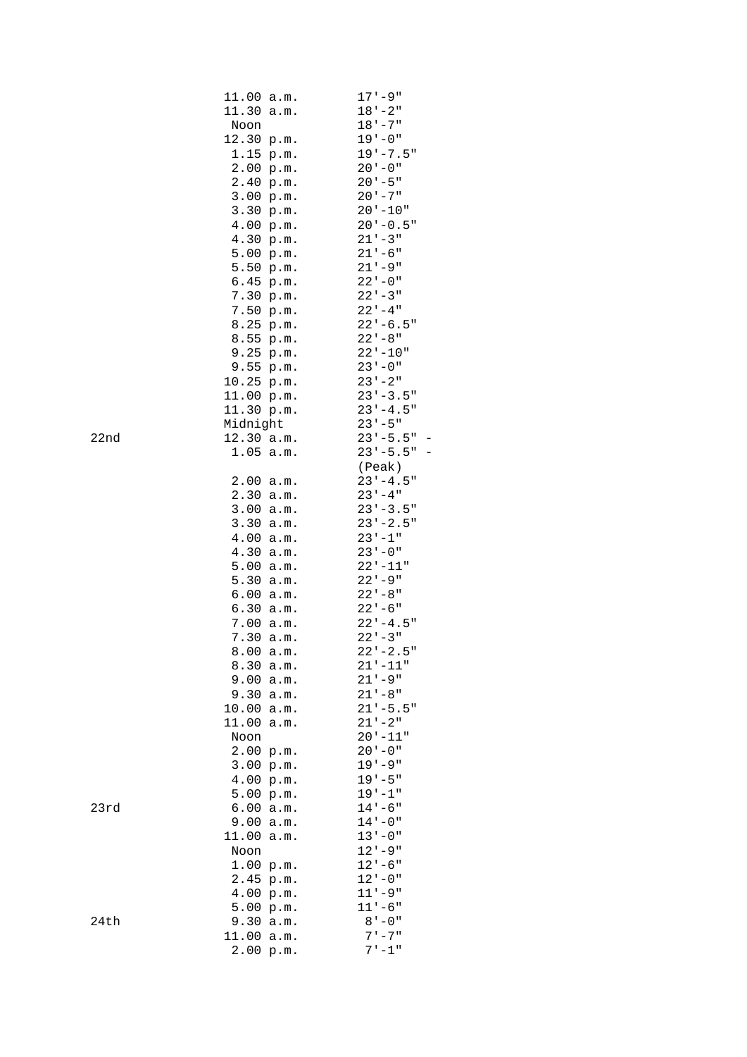|      | 11.00          | a.m. | $17 - 9$ "                 |
|------|----------------|------|----------------------------|
|      | 11.30          | a.m. | $18 - 2$ "                 |
|      | Noon           |      | $18 - 7$                   |
|      | 12.30 p.m.     |      | $19 - 0$ "                 |
|      | 1.15           | p.m. | $19' - 7.5"$               |
|      | 2.00 p.m.      |      | $20 - 0$ "                 |
|      | 2.40 p.m.      |      | $20 - 5$ "                 |
|      | 3.00 p.m.      |      | $20 - 7$ "                 |
|      | 3.30 p.m.      |      | $20 - 10"$                 |
|      | 4.00 p.m.      |      | $20 - 0.5$ "               |
|      | 4.30 p.m.      |      | $21 - 3$ "                 |
|      | 5.00 p.m.      |      | $21 - 6$ "                 |
|      | 5.50 p.m.      |      | $21 - 9$ "                 |
|      | 6.45 p.m.      |      | $22 - 0$ "                 |
|      | 7.30 p.m.      |      | $22 - 3$                   |
|      | 7.50 p.m.      |      | $22 - 4$ "                 |
|      | 8.25 p.m.      |      | $22 - 6.5$ "               |
|      | 8.55 p.m.      |      | $22 - 8$ "                 |
|      | 9.25 p.m.      |      | $22 - 10$ "                |
|      | 9.55 p.m.      |      | $23 - 0$ "                 |
|      | 10.25 p.m.     |      | $23 - 2$ "                 |
|      | 11.00 p.m.     |      | $23 - 3.5$ "               |
|      | 11.30 p.m.     |      | $23 - 4.5$ "               |
|      | Midnight       |      | $23 - 5$ "                 |
| 22nd | $12.30$ a.m.   |      | $23 - 5.5$ "               |
|      | $1.05$ a.m.    |      | $23 - 5.5$ "               |
|      |                |      | (Peak)                     |
|      | 2.00           | a.m. | $23 - 4.5$ "               |
|      | 2.30           | a.m. | $23 - 4$ "                 |
|      | 3.00           | a.m. | $23 - 3.5$ "               |
|      | 3.30           | a.m. | $23 - 2.5$ "               |
|      | 4.00           | a.m. | $23 - 1$                   |
|      | 4.30           | a.m. | $23 - 0$ "                 |
|      | 5.00           | a.m. | $22' - 11"$                |
|      | 5.30           | a.m. | $22 - 9$ "                 |
|      | 6.00           | a.m. | $22 - 8$ "                 |
|      | 6.30           | a.m. | $22 - 6$                   |
|      | 7.00           | a.m. | $22 - 4.5$ "               |
|      | 7.30           | a.m. | $22 - 3$ "                 |
|      | 8.00 a.m.      |      | $22 - 2.5$ "               |
|      | 8.30           | a.m. | $21 - 11$ "                |
|      | 9.00           | a.m. | $21 - 9$ "                 |
|      | 9.30           | a.m. | $21 - 8$ "<br>$21 - 5.5$ " |
|      | 10.00<br>11.00 | a.m. | $21 - 2$ "                 |
|      | Noon           | a.m. | $20 - 11"$                 |
|      | 2.00           |      | $20 - 0$ "                 |
|      | 3.00 p.m.      | p.m. | $19 - 9$ "                 |
|      | 4.00 p.m.      |      | $19 - 5$ "                 |
|      | 5.00           | p.m. | $19 - 1$ "                 |
| 23rd | 6.00           | a.m. | $14 - 6$ "                 |
|      | 9.00           | a.m. | $14 - 0$ "                 |
|      | 11.00          | a.m. | $13 - 0$ "                 |
|      | Noon           |      | $12 - 9$ "                 |
|      | 1.00 p.m.      |      | $12 - 6$ "                 |
|      | 2.45 p.m.      |      | $12 - 0$ "                 |
|      | 4.00 p.m.      |      | $11 - 9$ "                 |
|      | 5.00 p.m.      |      | $11 - 6$ "                 |
| 24th | 9.30           | a.m. | $8 - 0$                    |
|      | 11.00          |      | $7 - 7$ "                  |
|      | 2.00           | a.m. | $7 - 1$ "                  |
|      |                | p.m. |                            |

 $23rd$ 

 $24th$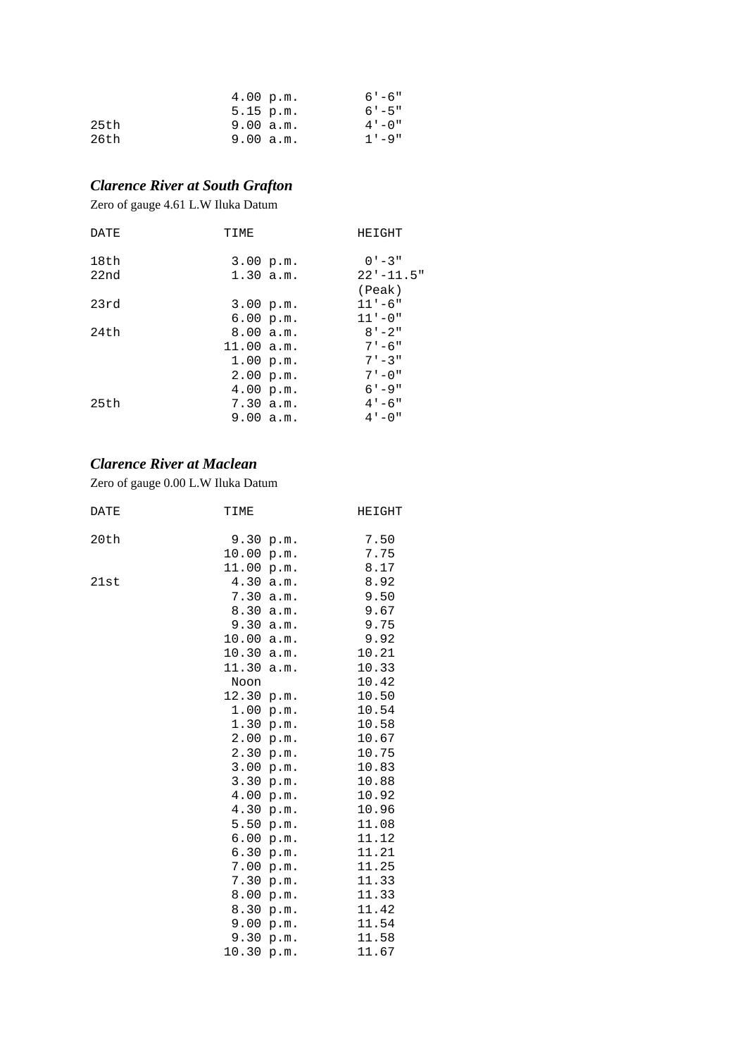|      | 4.00 p.m.   | $6' - 6''$ |
|------|-------------|------------|
|      | $5.15$ p.m. | $6' - 5''$ |
| 25th | 9.00 a.m.   | $4 - 0$ "  |
| 26th | 9.00 a.m.   | $1 - 9$ "  |

### *Clarence River at South Grafton*

Zero of gauge 4.61 L.W Iluka Datum

| DATE | TIME       | HEIGHT         |
|------|------------|----------------|
| 18th | 3.00 p.m.  | $0' - 3''$     |
| 22nd | 1.30 a.m.  | $22' - 11.5''$ |
|      |            | (Peak)         |
| 23rd | 3.00 p.m.  | $11 - 6$ "     |
|      | 6.00 p.m.  | $11 - 0$ "     |
| 24th | 8.00 a.m.  | $8' - 2''$     |
|      | 11.00 a.m. | $7 - 6$ "      |
|      | 1.00 p.m.  | $7 - 3$ "      |
|      | 2.00 p.m.  | $7 - 0$ "      |
|      | 4.00 p.m.  | $6 - 9$ "      |
| 25th | 7.30 a.m.  | $4 - 6$ "      |
|      | 9.00 a.m.  | $4 - 0$ "      |

### *Clarence River at Maclean*

Zero of gauge 0.00 L.W Iluka Datum

| DATE | TIME  |      | HEIGHT |
|------|-------|------|--------|
| 20th | 9.30  | p.m. | 7.50   |
|      | 10.00 | p.m. | 7.75   |
|      | 11.00 | p.m. | 8.17   |
| 21st | 4.30  | a.m. | 8.92   |
|      | 7.30  | a.m. | 9.50   |
|      | 8.30  | a.m. | 9.67   |
|      | 9.30  | a.m. | 9.75   |
|      | 10.00 | a.m. | 9.92   |
|      | 10.30 | a.m. | 10.21  |
|      | 11.30 | a.m. | 10.33  |
|      | Noon  |      | 10.42  |
|      | 12.30 | p.m. | 10.50  |
|      | 1.00  | p.m. | 10.54  |
|      | 1.30  | p.m. | 10.58  |
|      | 2.00  | p.m. | 10.67  |
|      | 2.30  | p.m. | 10.75  |
|      | 3.00  | p.m. | 10.83  |
|      | 3.30  | p.m. | 10.88  |
|      | 4.00  | p.m. | 10.92  |
|      | 4.30  | p.m. | 10.96  |
|      | 5.50  | p.m. | 11.08  |
|      | 6.00  | p.m. | 11.12  |
|      | 6.30  | p.m. | 11.21  |
|      | 7.00  | p.m. | 11.25  |
|      | 7.30  | p.m. | 11.33  |
|      | 8.00  | p.m. | 11.33  |
|      | 8.30  | p.m. | 11.42  |
|      | 9.00  | p.m. | 11.54  |
|      | 9.30  | p.m. | 11.58  |
|      | 10.30 | p.m. | 11.67  |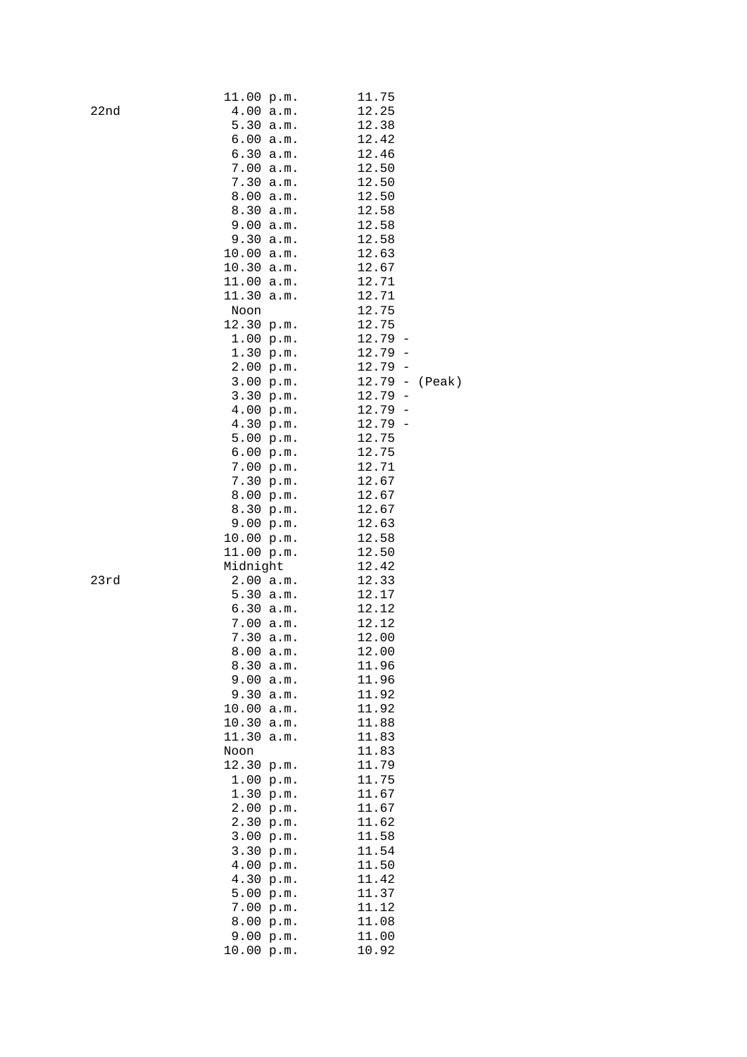|                  | 11.00 p.m.    | 11.75                             |
|------------------|---------------|-----------------------------------|
| 22 <sub>nd</sub> | 4.00<br>a.m.  | 12.25                             |
|                  | 5.30<br>a.m.  | 12.38                             |
|                  | 6.00 a.m.     | 12.42                             |
|                  | 6.30 a.m.     | 12.46                             |
|                  | 7.00 a.m.     | 12.50                             |
|                  | 7.30<br>a.m.  | 12.50                             |
|                  | 8.00<br>a.m.  | 12.50                             |
|                  | 8.30          | 12.58                             |
|                  | a.m.          |                                   |
|                  | 9.00<br>a.m.  | 12.58                             |
|                  | 9.30 a.m.     | 12.58                             |
|                  | 10.00 a.m.    | 12.63                             |
|                  | 10.30 a.m.    | 12.67                             |
|                  | 11.00 a.m.    | 12.71                             |
|                  | 11.30<br>a.m. | 12.71                             |
|                  | Noon          | 12.75                             |
|                  | 12.30 p.m.    | 12.75                             |
|                  | 1.00 p.m.     | 12.79<br>$\overline{\phantom{m}}$ |
|                  | 1.30 p.m.     | 12.79<br>$\overline{\phantom{0}}$ |
|                  | 2.00 p.m.     | 12.79<br>$\overline{a}$           |
|                  | 3.00 p.m.     | $12.79 -$<br>(Peak)               |
|                  | 3.30 p.m.     | 12.79<br>$\qquad \qquad -$        |
|                  | 4.00 p.m.     | 12.79<br>$\overline{\phantom{0}}$ |
|                  | 4.30 p.m.     | 12.79<br>$\overline{\phantom{0}}$ |
|                  | 5.00 p.m.     | 12.75                             |
|                  | 6.00 p.m.     | 12.75                             |
|                  | 7.00 p.m.     | 12.71                             |
|                  | 7.30 p.m.     | 12.67                             |
|                  | 8.00 p.m.     | 12.67                             |
|                  | 8.30 p.m.     | 12.67                             |
|                  | 9.00 p.m.     | 12.63                             |
|                  | 10.00 p.m.    | 12.58                             |
|                  | 11.00 p.m.    | 12.50                             |
|                  |               |                                   |
|                  | Midnight      | 12.42                             |
| 23rd             | 2.00 a.m.     | 12.33                             |
|                  | 5.30 a.m.     | 12.17                             |
|                  | 6.30 a.m.     | 12.12                             |
|                  | 7.00 a.m.     | 12.12                             |
|                  | 7.30 a.m.     | 12.00                             |
|                  | 8.00 a.m.     | 12.00                             |
|                  | 8.30<br>a.m.  | 11.96                             |
|                  | 9.00<br>a.m.  | 11.96                             |
|                  | 9.30<br>a.m.  | 11.92                             |
|                  | 10.00<br>a.m. | 11.92                             |
|                  | 10.30<br>a.m. | 11.88                             |
|                  | 11.30<br>a.m. | 11.83                             |
|                  | Noon          | 11.83                             |
|                  | 12.30<br>p.m. | 11.79                             |
|                  | 1.00<br>p.m.  | 11.75                             |
|                  | 1.30<br>p.m.  | 11.67                             |
|                  | 2.00<br>p.m.  | 11.67                             |
|                  | 2.30<br>p.m.  | 11.62                             |
|                  | 3.00 p.m.     | 11.58                             |
|                  | 3.30<br>p.m.  | 11.54                             |
|                  | 4.00<br>p.m.  | 11.50                             |
|                  | 4.30<br>p.m.  | 11.42                             |
|                  | 5.00<br>p.m.  | 11.37                             |
|                  | 7.00<br>p.m.  | 11.12                             |
|                  | 8.00<br>p.m.  | 11.08                             |
|                  |               | 11.00                             |
|                  | 9.00<br>p.m.  |                                   |
|                  | 10.00 p.m.    | 10.92                             |

 $23rd$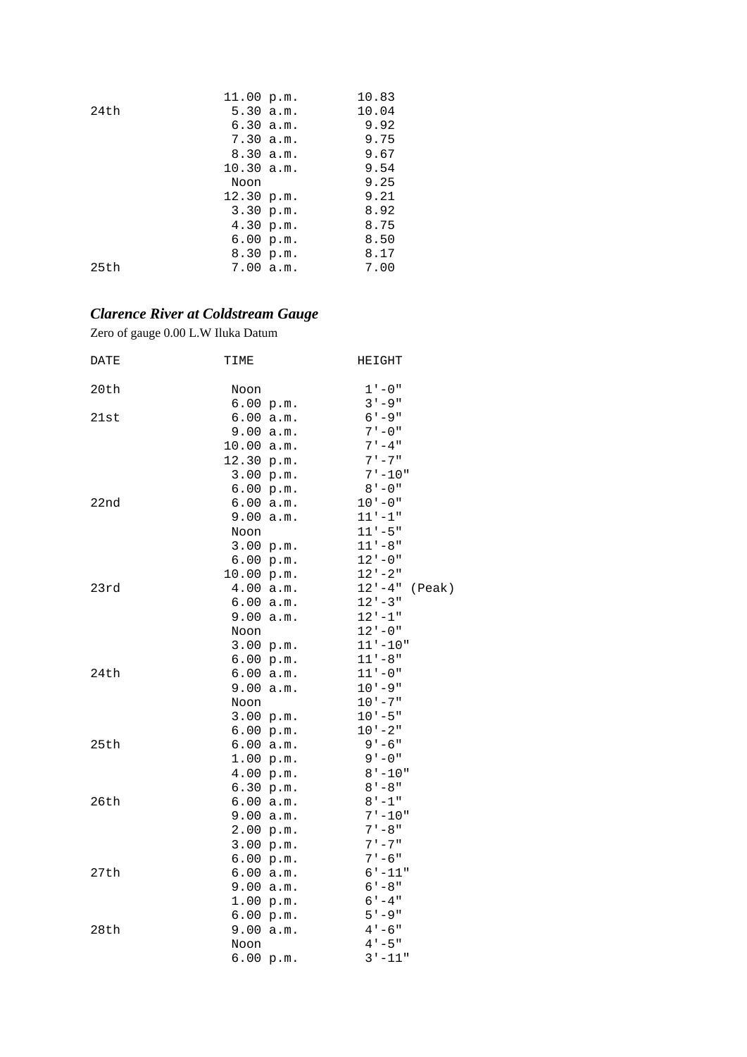|      | 10.83<br>11.00 p.m. |  |
|------|---------------------|--|
| 24th | 10.04<br>5.30 a.m.  |  |
|      | 6.30 a.m.<br>9.92   |  |
|      | 9.75<br>7.30 a.m.   |  |
|      | 9.67<br>8.30 a.m.   |  |
|      | 10.30 a.m.<br>9.54  |  |
|      | 9.25<br>Noon        |  |
|      | 9.21<br>12.30 p.m.  |  |
|      | 8.92<br>3.30 p.m.   |  |
|      | 4.30 p.m.<br>8.75   |  |
|      | 8.50<br>6.00 p.m.   |  |
|      | 8.30 p.m.<br>8.17   |  |
| 25th | 7.00 a.m.<br>7.00   |  |
|      |                     |  |

# *Clarence River at Coldstream Gauge*

Zero of gauge 0.00 L.W Iluka Datum

| DATE | TIME       |           | HEIGHT               |
|------|------------|-----------|----------------------|
| 20th | Noon       |           | $1 - 0$ "            |
|      | 6.00 p.m.  |           | $3 - 9$ "            |
| 21st | 6.00 a.m.  |           | $6' - 9''$           |
|      | 9.00 a.m.  |           | $7 - 0$ "            |
|      | 10.00 a.m. |           | $7 - 4$ "            |
|      | 12.30 p.m. |           | $7 - 7$ "            |
|      | 3.00 p.m.  |           | $7 - 10"$            |
|      | 6.00 p.m.  |           | $8 - 0$ "            |
| 22nd |            | 6.00 a.m. | $10 - 0$ "           |
|      | 9.00       | a.m.      | $11 - 1$ "           |
|      | Noon       |           | $11 - 5$ "           |
|      |            | 3.00 p.m. | $11 - 8$ "           |
|      |            | 6.00 p.m. | $12 - 0$ "           |
|      | 10.00 p.m. |           | $12 - 2$             |
| 23rd | 4.00 a.m.  |           | $12 - 4$ "<br>(Peak) |
|      |            | 6.00 a.m. | $12 - 3$ "           |
|      | 9.00 a.m.  |           | $12 - 1$ "           |
|      | Noon       |           | $12 - 0$ "           |
|      |            | 3.00 p.m. | $11 - 10$ "          |
|      |            | 6.00 p.m. | $11 - 8$ "           |
| 24th | 6.00 a.m.  |           | 11'-0"               |
|      | 9.00 a.m.  |           | $10 - 9$ "           |
|      | Noon       |           | $10 - 7$ "           |
|      |            | 3.00 p.m. | $10 - 5$ "           |
|      | 6.00 p.m.  |           | $10 - 2$ "           |
| 25th | 6.00 a.m.  |           | $9 - 6$ "            |
|      | 1.00 p.m.  |           | $9 - 0$ "            |
|      | 4.00 p.m.  |           | $8 - 10$ "           |
|      | 6.30 p.m.  |           | $8 - 8$              |
| 26th | 6.00 a.m.  |           | $8 - 1$ "            |
|      | 9.00 a.m.  |           | $7 - 10"$            |
|      | 2.00 p.m.  |           | $7 - 8$ "            |
|      | 3.00 p.m.  |           | $7 - 7$ "            |
|      | 6.00 p.m.  |           | $7 - 6$ "            |
| 27th | 6.00 a.m.  |           | $6 - 11$ "           |
|      |            | 9.00 a.m. | $6' - 8''$           |
|      | 1.00 p.m.  |           | $6 - 4$ "            |
|      | 6.00 p.m.  |           | $5 - 9$ "            |
| 28th | 9.00 a.m.  |           | $4 - 6$ "            |
|      | Noon       |           | $4 - 5$ "            |
|      | 6.00 p.m.  |           | $3 - 11$ "           |